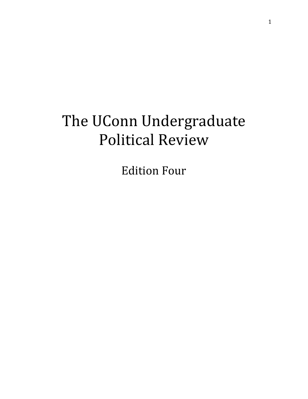# The UConn Undergraduate **Political Review**

**Edition Four**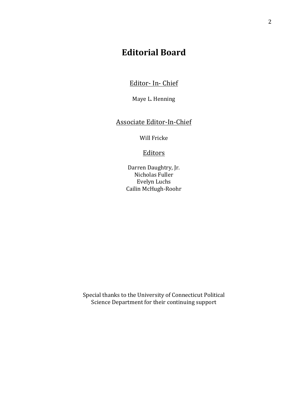# **Editorial Board**

 Editor- In- Chief

Maye L. Henning

Associate Editor-In-Chief

Will Fricke

### **Editors**

 Darren Daughtry, Jr. Nicholas Fuller Evelyn Luchs Cailin McHugh-Roohr

 Science Department for their continuing supportSpecial thanks to the University of Connecticut Political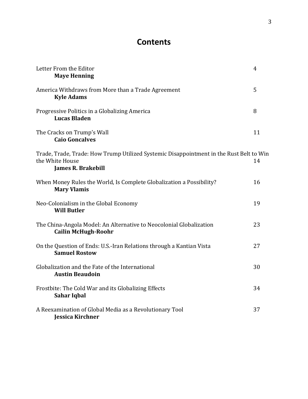# **Contents**

| Letter From the Editor<br><b>Maye Henning</b>                                                                                           | $\overline{4}$ |
|-----------------------------------------------------------------------------------------------------------------------------------------|----------------|
| America Withdraws from More than a Trade Agreement<br><b>Kyle Adams</b>                                                                 | 5              |
| Progressive Politics in a Globalizing America<br><b>Lucas Bladen</b>                                                                    | 8              |
| The Cracks on Trump's Wall<br><b>Caio Goncalves</b>                                                                                     | 11             |
| Trade, Trade, Trade: How Trump Utilized Systemic Disappointment in the Rust Belt to Win<br>the White House<br><b>James R. Brakebill</b> | 14             |
| When Money Rules the World, Is Complete Globalization a Possibility?<br><b>Mary Vlamis</b>                                              | 16             |
| Neo-Colonialism in the Global Economy<br><b>Will Butler</b>                                                                             | 19             |
| The China-Angola Model: An Alternative to Neocolonial Globalization<br><b>Cailin McHugh-Roohr</b>                                       | 23             |
| On the Question of Ends: U.S.-Iran Relations through a Kantian Vista<br><b>Samuel Rostow</b>                                            | 27             |
| Globalization and the Fate of the International<br><b>Austin Beaudoin</b>                                                               | 30             |
| Frostbite: The Cold War and its Globalizing Effects<br>Sahar Iqbal                                                                      | 34             |
| A Reexamination of Global Media as a Revolutionary Tool<br><b>Jessica Kirchner</b>                                                      | 37             |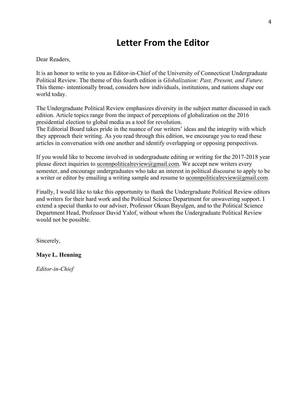# **Letter From the Editor**

### Dear Readers,

 Political Review. The theme of this fourth edition is *Globalization: Past, Present, and Future.*  It is an honor to write to you as Editor-in-Chief of the University of Connecticut Undergraduate This theme- intentionally broad, considers how individuals, institutions, and nations shape our world today.

The Undergraduate Political Review emphasizes diversity in the subject matter discussed in each edition. Article topics range from the impact of perceptions of globalization on the 2016 presidential election to global media as a tool for revolution.

 The Editorial Board takes pride in the nuance of our writers' ideas and the integrity with which they approach their writing. As you read through this edition, we encourage you to read these articles in conversation with one another and identify overlapping or opposing perspectives.

If you would like to become involved in undergraduate editing or writing for the 2017-2018 year please direct inquiries to uconnpoliticalreview@gmail.com. We accept new writers every semester, and encourage undergraduates who take an interest in political discourse to apply to be a writer or editor by emailing a writing sample and resume to uconnpolitical review  $\omega$  gmail.com.

Finally, I would like to take this opportunity to thank the Undergraduate Political Review editors and writers for their hard work and the Political Science Department for unwavering support. I extend a special thanks to our adviser, Professor Oksan Bayulgen, and to the Political Science Department Head, Professor David Yalof, without whom the Undergraduate Political Review would not be possible.

Sincerely,

### **Maye L. Henning**

*Editor-in-Chief*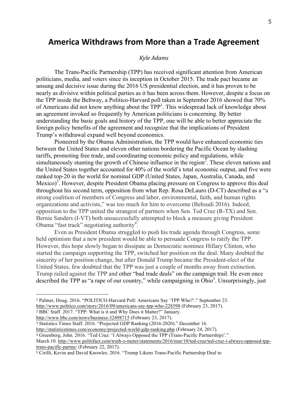### **America Withdraws from More than a Trade Agreement**

### *Kyle Adams*

 politicians, media, and voters since its inception in October 2015. The trade pact became an unsung and decisive issue during the 2016 US presidential election, and it has proven to be foreign policy benefits of the agreement and recognize that the implications of President The Trans-Pacific Partnership (TPP) has received significant attention from American nearly as divisive within political parties as it has been across them. However, despite a focus on the TPP inside the Beltway, a Politico-Harvard poll taken in September 2016 showed that 70% of Americans did not know anything about the  $TPP<sup>1</sup>$ . This widespread lack of knowledge about an agreement invoked so frequently by American politicians is concerning. By better understanding the basic goals and history of the TPP, one will be able to better appreciate the Trump's withdrawal expand well beyond economics.

Pioneered by the Obama Administration, the TPP would have enhanced economic ties between the United States and eleven other nations bordering the Pacific Ocean by slashing tariffs, promoting free trade, and coordinating economic policy and regulations, while simultaneously stunting the growth of Chinese influence in the region<sup>2</sup>. These eleven nations and the United States together accounted for 40% of the world's total economic output, and five were ranked top-20 in the world for nominal GDP (United States, Japan, Australia, Canada, and Mexico)<sup>3</sup>. However, despite President Obama placing pressure on Congress to approve this deal throughout his second term, opposition from what Rep. Rosa DeLauro (D-CT) described as a "a strong coalition of members of Congress and labor, environmental, faith, and human rights organizations and activists," was too much for him to overcome (Behsudi 2016). Indeed, opposition to the TPP united the strangest of partners when Sen. Ted Cruz (R-TX) and Sen. Bernie Sanders (I-VT) both unsuccessfully attempted to block a measure giving President Obama "fast track" negotiating authority<sup>4</sup>.

Even as President Obama struggled to push his trade agenda through Congress, some held optimism that a new president would be able to persuade Congress to ratify the TPP. However, this hope slowly began to dissipate as Democratic nominee Hillary Clinton, who started the campaign supporting the TPP, switched her position on the deal. Many doubted the sincerity of her position change, but after Donald Trump became the President-elect of the United States, few doubted that the TPP was just a couple of months away from extinction. Trump railed against the TPP and other "bad trade deals" on the campaign trail. He even once described the TPP as "a rape of our country," while campaigning in  $\overline{O}$ hio<sup>5</sup>. Unsurprisingly, just

 <sup>1</sup> Palmer, Doug. 2016. "POLITICO-Harvard Poll: Americans Say 'TPP Who?'." September 23. http://www.politico.com/story/2016/09/americans-say-tpp-who-228598 (February 23, 2017).

 <sup>2</sup> BBC Staff. 2017. "TPP: What is it and Why Does it Matter?" January.

http://www.bbc.com/news/business-32498715 (February 23, 2017).

 <sup>3</sup> Statistics Times Staff. 2016. "Projected GDP Ranking (2016-2020)." December 16.

 http://statisticstimes.com/economy/projected-world-gdp-ranking.php (February 24, 2017).

 <sup>4</sup> Greenberg, John. 2016. "Ted Cruz: 'I Always Opposed the TPP (Trans-Pacific Partnership)'."

 March 10. http://www.politifact.com/truth-o-meter/statements/2016/mar/10/ted-cruz/ted-cruz-i-always-opposed-tpp-trans-pacific-partne/ (February 22, 2017).

 <sup>5</sup> Cirilli, Kevin and David Knowles. 2016. "Trump Likens Trans-Pacific Partnership Deal to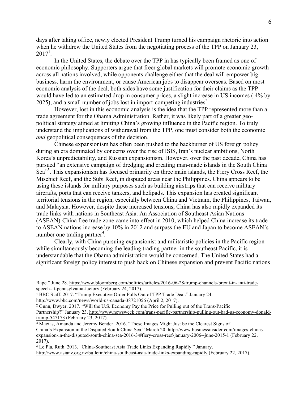$2017<sup>1</sup>$ . days after taking office, newly elected President Trump turned his campaign rhetoric into action when he withdrew the United States from the negotiating process of the TPP on January 23,

. In the United States, the debate over the TPP in has typically been framed as one of economic philosophy. Supporters argue that freer global markets will promote economic growth across all nations involved, while opponents challenge either that the deal will empower big business, harm the environment, or cause American jobs to disappear overseas. Based on most economic analysis of the deal, both sides have some justification for their claims as the TPP would have led to an estimated drop in consumer prices, a slight increase in US incomes (.4% by  $2025$ ), and a small number of jobs lost in import-competing industries<sup>2</sup>.

However, lost in this economic analysis is the idea that the TPP represented more than a trade agreement for the Obama Administration. Rather, it was likely part of a greater geopolitical strategy aimed at limiting China's growing influence in the Pacific region. To truly understand the implications of withdrawal from the TPP, one must consider both the economic *and* geopolitical consequences of the decision.

Sea<sup>33</sup>. This expansionism has focused primarily on three main islands, the Fiery Cross Reef, the number one trading partner<sup>4</sup>. Chinese expansionism has often been pushed to the backburner of US foreign policy during an era dominated by concerns over the rise of ISIS, Iran's nuclear ambitions, North Korea's unpredictability, and Russian expansionism. However, over the past decade, China has pursued "an extensive campaign of dredging and creating man-made islands in the South China Mischief Reef, and the Subi Reef, in disputed areas near the Philippines. China appears to be using these islands for military purposes such as building airstrips that can receive military aircrafts, ports that can receive tankers, and helipads. This expansion has created significant territorial tensions in the region, especially between China and Vietnam, the Philippines, Taiwan, and Malaysia. However, despite these increased tensions, China has also rapidly expanded its trade links with nations in Southeast Asia. An Association of Southeast Asian Nations (ASEAN)-China free trade zone came into effect in 2010, which helped China increase its trade to ASEAN nations increase by 10% in 2012 and surpass the EU and Japan to become ASEAN's

Clearly, with China pursuing expansionist and militaristic policies in the Pacific region while simultaneously becoming the leading trading partner in the southeast Pacific, it is understandable that the Obama administration would be concerned. The United States had a significant foreign policy interest to push back on Chinese expansion and prevent Pacific nations

<u> 1989 - Andrea Santa Andrea Santa Andrea Santa Andrea Santa Andrea Santa Andrea Santa Andrea Santa Andrea San</u>

http://www.bbc.com/news/world-us-canada-38721056 (April 2, 2017).

 Rape." June 28. https://www.bloomberg.com/politics/articles/2016-06-28/trump-channels-brexit-in-anti-tradespeech-at-pennsylvania-factory (February 24, 2017).

 <sup>1</sup> BBC Staff. 2017. "Trump Executive Order Pulls Out of TPP Trade Deal." January 24.

 <sup>2</sup> Gunn, Dwyer. 2017. "Will the U.S. Economy Pay the Price for Pulling out of the Trans-Pacific Partnership?" January 23. http://www.newsweek.com/trans-pacific-partnership-pulling-out-bad-us-economy-donald-trump-547173 (February 23, 2017).

 <sup>3</sup> Macias, Amanda and Jeremy Bender. 2016. "These Images Might Just be the Clearest Signs of China's Expansion in the Disputed South China Sea." March 20. http://www.businessinsider.com/images-chinas- expansion-in-the-disputed-south-china-sea-2016-3/#fiery-cross-reef-january-2006--june-2015-1 (February 22, 2017).

 <sup>4</sup> Le Pla, Ruth. 2013. "China-Southeast Asia Trade Links Expanding Rapidly." January. http://www.asianz.org.nz/bulletin/china-southeast-asia-trade-links-expanding-rapidly (February 22, 2017).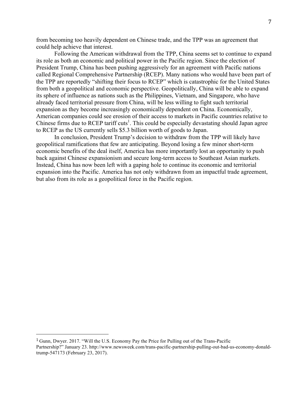from becoming too heavily dependent on Chinese trade, and the TPP was an agreement that could help achieve that interest.

 its sphere of influence as nations such as the Philippines, Vietnam, and Singapore, who have Following the American withdrawal from the TPP, China seems set to continue to expand its role as both an economic and political power in the Pacific region. Since the election of President Trump, China has been pushing aggressively for an agreement with Pacific nations called Regional Comprehensive Partnership (RCEP). Many nations who would have been part of the TPP are reportedly "shifting their focus to RCEP" which is catastrophic for the United States from both a geopolitical and economic perspective. Geopolitically, China will be able to expand already faced territorial pressure from China, will be less willing to fight such territorial expansion as they become increasingly economically dependent on China. Economically, American companies could see erosion of their access to markets in Pacific countries relative to Chinese firms due to RCEP tariff cuts<sup>1</sup>. This could be especially devastating should Japan agree to RCEP as the US currently sells \$5.3 billion worth of goods to Japan.

In conclusion, President Trump's decision to withdraw from the TPP will likely have geopolitical ramifications that few are anticipating. Beyond losing a few minor short-term economic benefits of the deal itself, America has more importantly lost an opportunity to push back against Chinese expansionism and secure long-term access to Southeast Asian markets. Instead, China has now been left with a gaping hole to continue its economic and territorial expansion into the Pacific. America has not only withdrawn from an impactful trade agreement, but also from its role as a geopolitical force in the Pacific region.

 $1$  Gunn, Dwyer. 2017. "Will the U.S. Economy Pay the Price for Pulling out of the Trans-Pacific Partnership?" January 23. http://www.newsweek.com/trans-pacific-partnership-pulling-out-bad-us-economy-donaldtrump-547173 (February 23, 2017).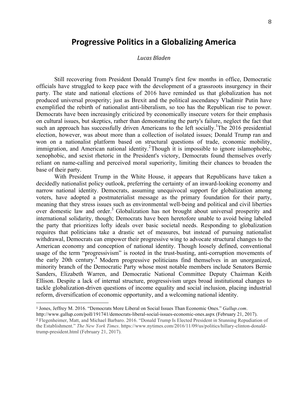### **Progressive Politics in a Globalizing America**

### *Lucas Bladen*

 Still recovering from President Donald Trump's first few months in office, Democratic officials have struggled to keep pace with the development of a grassroots insurgency in their party. The state and national elections of 2016 have reminded us that globalization has not produced universal prosperity; just as Brexit and the political ascendancy Vladimir Putin have exemplified the rebirth of nationalist anti-liberalism, so too has the Republican rise to power. Democrats have been increasingly criticized by economically insecure voters for their emphasis on cultural issues, but skeptics, rather than demonstrating the party's failure, neglect the fact that such an approach has successfully driven Americans to the left socially.<sup>1</sup>The 2016 presidential election, however, was about more than a collection of isolated issues; Donald Trump ran and won on a nationalist platform based on structural questions of trade, economic mobility, immigration, and American national identity.<sup>2</sup> Though it is impossible to ignore islamophobic, xenophobic, and sexist rhetoric in the President's victory, Democrats found themselves overly reliant on name-calling and perceived moral superiority, limiting their chances to broaden the base of their party.

 With President Trump in the White House, it appears that Republicans have taken a decidedly nationalist policy outlook, preferring the certainty of an inward-looking economy and narrow national identity. Democrats, assuming unequivocal support for globalization among voters, have adopted a postmaterialist message as the primary foundation for their party, meaning that they stress issues such as environmental well-being and political and civil liberties over domestic law and order.<sup>3</sup> Globalization has not brought about universal prosperity and international solidarity, though; Democrats have been heretofore unable to avoid being labeled the party that prioritizes lofty ideals over basic societal needs. Responding to globalization requires that politicians take a drastic set of measures, but instead of pursuing nationalist withdrawal, Democrats can empower their progressive wing to advocate structural changes to the American economy and conception of national identity. Though loosely defined, conventional usage of the term "progressivism" is rooted in the trust-busting, anti-corruption movements of the early 20th century.<sup>4</sup> Modern progressive politicians find themselves in an unorganized, minority branch of the Democratic Party whose most notable members include Senators Bernie Sanders, Elizabeth Warren, and Democratic National Committee Deputy Chairman Keith Ellison. Despite a lack of internal structure, progressivism urges broad institutional changes to tackle globalization-driven questions of income equality and social inclusion, placing industrial reform, diversification of economic opportunity, and a welcoming national identity.

 <sup>2</sup> Flegenheimer, Matt, and Michael Barbaro. 2016. "Donald Trump Is Elected President in Stunning Repudiation of  the Establishment." *The New York Times*. https://www.nytimes.com/2016/11/09/us/politics/hillary-clinton-donaldhttp://www.gallup.com/poll/191741/democrats-liberal-social-issues-economic-ones.aspx (February 21, 2017).

trump-president.html (February 21, 2017).

 <sup>1</sup> Jones, Jeffrey M. 2016. "Democrats More Liberal on Social Issues Than Economic Ones." *Gallup.com*.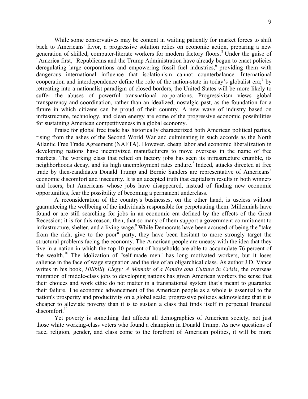While some conservatives may be content in waiting patiently for market forces to shift back to Americans' favor, a progressive solution relies on economic action, preparing a new generation of skilled, computer-literate workers for modern factory floors.<sup>5</sup> Under the guise of "America first," Republicans and the Trump Administration have already begun to enact policies deregulating large corporations and empowering fossil fuel industries, $6$  providing them with dangerous international influence that isolationism cannot counterbalance. International cooperation and interdependence define the role of the nation-state in today's globalist era;<sup>7</sup> by retreating into a nationalist paradigm of closed borders, the United States will be more likely to suffer the abuses of powerful transnational corporations. Progressivism views global transparency and coordination, rather than an idealized, nostalgic past, as the foundation for a future in which citizens can be proud of their country. A new wave of industry based on infrastructure, technology, and clean energy are some of the progressive economic possibilities for sustaining American competitiveness in a global economy.

 Praise for global free trade has historically characterized both American political parties, rising from the ashes of the Second World War and culminating in such accords as the North Atlantic Free Trade Agreement (NAFTA). However, cheap labor and economic liberalization in developing nations have incentivized manufacturers to move overseas in the name of free markets. The working class that relied on factory jobs has seen its infrastructure crumble, its neighborhoods decay, and its high unemployment rates endure.<sup>8</sup> Indeed, attacks directed at free trade by then-candidates Donald Trump and Bernie Sanders are representative of Americans' economic discomfort and insecurity. It is an accepted truth that capitalism results in both winners and losers, but Americans whose jobs have disappeared, instead of finding new economic opportunities, fear the possibility of becoming a permanent underclass.

 guaranteeing the wellbeing of the individuals responsible for perpetuating them. Millennials have found or are still searching for jobs in an economic era defined by the effects of the Great Recession; it is for this reason, then, that so many of them support a government commitment to infrastructure, shelter, and a living wage. $9$  While Democrats have been accused of being the "take" from the rich, give to the poor" party, they have been hesitant to more strongly target the structural problems facing the economy. The American people are uneasy with the idea that they live in a nation in which the top 10 percent of households are able to accumulate 76 percent of the wealth.<sup>10</sup> The idolization of "self-made men" has long motivated workers, but it loses salience in the face of wage stagnation and the rise of an oligarchical class. As author J.D. Vance writes in his book, *Hillbilly Elegy: A Memoir of a Family and Culture in Crisis*, the overseas migration of middle-class jobs to developing nations has given American workers the sense that their choices and work ethic do not matter in a transnational system that's meant to guarantee their failure. The economic advancement of the American people as a whole is essential to the nation's prosperity and productivity on a global scale; progressive policies acknowledge that it is cheaper to alleviate poverty than it is to sustain a class that finds itself in perpetual financial A reconsideration of the country's businesses, on the other hand, is useless without  $discomfort.<sup>11</sup>$ 

 those white working-class voters who found a champion in Donald Trump. As new questions of race, religion, gender, and class come to the forefront of American politics, it will be more Yet poverty is something that affects all demographics of American society, not just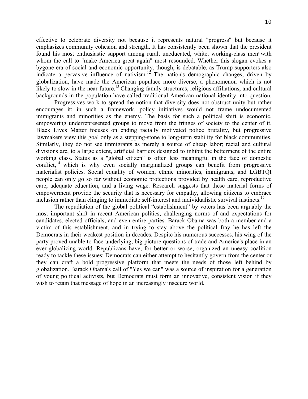effective to celebrate diversity not because it represents natural "progress" but because it emphasizes community cohesion and strength. It has consistently been shown that the president found his most enthusiastic support among rural, uneducated, white, working-class men<sup>9</sup> with whom the call to "make America great again" most resounded. Whether this slogan evokes a bygone era of social and economic opportunity, though, is debatable, as Trump supporters also indicate a pervasive influence of nativism.<sup>12</sup> The nation's demographic changes, driven by globalization, have made the American populace more diverse, a phenomenon which is not likely to slow in the near future.<sup>13</sup> Changing family structures, religious affiliations, and cultural backgrounds in the population have called traditional American national identity into question.

 Progressives work to spread the notion that diversity does not obstruct unity but rather encourages it; in such a framework, policy initiatives would not frame undocumented immigrants and minorities as the enemy. The basis for such a political shift is economic, empowering underrepresented groups to move from the fringes of society to the center of it. Black Lives Matter focuses on ending racially motivated police brutality, but progressive lawmakers view this goal only as a stepping-stone to long-term stability for black communities. Similarly, they do not see immigrants as merely a source of cheap labor; racial and cultural divisions are, to a large extent, artificial barriers designed to inhibit the betterment of the entire working class. Status as a "global citizen" is often less meaningful in the face of domestic conflict,<sup>14</sup> which is why even socially marginalized groups can benefit from progressive materialist policies. Social equality of women, ethnic minorities, immigrants, and LGBTQI people can only go so far without economic protections provided by health care, reproductive care, adequate education, and a living wage. Research suggests that these material forms of empowerment provide the security that is necessary for empathy, allowing citizens to embrace inclusion rather than clinging to immediate self-interest and individualistic survival instincts.<sup>15</sup>

 most important shift in recent American politics, challenging norms of and expectations for candidates, elected officials, and even entire parties. Barack Obama was both a member and a victim of this establishment, and in trying to stay above the political fray he has left the Democrats in their weakest position in decades. Despite his numerous successes, his wing of the party proved unable to face underlying, big-picture questions of trade and America's place in an ready to tackle these issues; Democrats can either attempt to hesitantly govern from the center or they can craft a bold progressive platform that meets the needs of those left behind by globalization. Barack Obama's call of "Yes we can" was a source of inspiration for a generation of young political activists, but Democrats must form an innovative, consistent vision if they The repudiation of the global political "establishment" by voters has been arguably the ever-globalizing world. Republicans have, for better or worse, organized an uneasy coalition wish to retain that message of hope in an increasingly insecure world.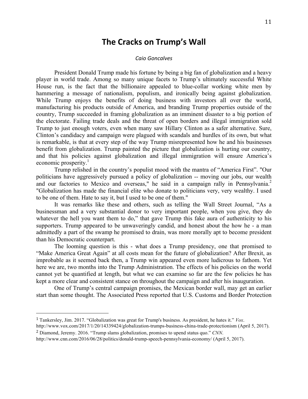### **The Cracks on Trump's Wall**

#### *Caio Goncalves*

 President Donald Trump made his fortune by being a big fan of globalization and a heavy player in world trade. Among so many unique facets to Trump's ultimately successful White House run, is the fact that the billionaire appealed to blue-collar working white men by hammering a message of nationalism, populism, and ironically being against globalization. While Trump enjoys the benefits of doing business with investors all over the world, manufacturing his products outside of America, and branding Trump properties outside of the the electorate. Failing trade deals and the threat of open borders and illegal immigration sold Trump to just enough voters, even when many saw Hillary Clinton as a safer alternative. Sure, Clinton's candidacy and campaign were plagued with scandals and hurdles of its own, but what is remarkable, is that at every step of the way Trump misrepresented how he and his businesses benefit from globalization. Trump painted the picture that globalization is hurting our country, and that his policies against globalization and illegal immigration will ensure America's economic prosperity.<sup>1</sup> country, Trump succeeded in framing globalization as an imminent disaster to a big portion of

 Trump relished in the country's populist mood with the mantra of "America First". "Our politicians have aggressively pursued a policy of globalization -- moving our jobs, our wealth and our factories to Mexico and overseas," he said in a campaign rally in Pennsylvania.<sup>2</sup> "Globalization has made the financial elite who donate to politicians very, very wealthy. I used to be one of them. Hate to say it, but I used to be one of them."

 It was remarks like these and others, such as telling the Wall Street Journal, "As a whatever the hell you want them to do," that gave Trump this fake aura of authenticity to his supporters. Trump appeared to be unwaveringly candid, and honest about the how he - a man admittedly a part of the swamp he promised to drain, was more morally apt to become president businessman and a very substantial donor to very important people, when you give, they do than his Democratic counterpart.

 The looming question is this - what does a Trump presidency, one that promised to "Make America Great Again" at all costs mean for the future of globalization? After Brexit, as improbable as it seemed back then, a Trump win appeared even more ludicrous to fathom. Yet here we are, two months into the Trump Administration. The effects of his policies on the world cannot yet be quantified at length, but what we can examine so far are the few policies he has kept a more clear and consistent stance on throughout the campaign and after his inauguration.

 One of Trump's central campaign promises, the Mexican border wall, may get an earlier start than some thought. The Associated Press reported that U.S. Customs and Border Protection

 <sup>1</sup> Tankersley, Jim. 2017. "Globalization was great for Trump's business. As president, he hates it." *Vox*.

 http://www.vox.com/2017/1/20/14339424/globalization-trumps-business-china-trade-protectionism (April 5, 2017). <sup>2</sup> Diamond, Jeremy. 2016. "Trump slams globalization, promises to upend status quo." *CNN*.

 http://www.cnn.com/2016/06/28/politics/donald-trump-speech-pennsylvania-economy/ (April 5, 2017).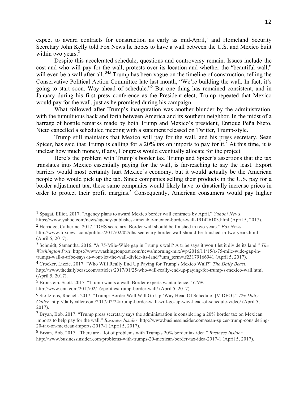expect to award contracts for construction as early as mid-April,<sup>1</sup> and Homeland Security Secretary John Kelly told Fox News he hopes to have a wall between the U.S. and Mexico built within two years. $2$ 

 Despite this accelerated schedule, questions and controversy remain. Issues include the cost and who will pay for the wall, protests over its location and whether the "beautiful wall," will even be a wall after all.<sup>345</sup> Trump has been vague on the timeline of construction, telling the Conservative Political Action Committee late last month, "We're building the wall. In fact, it's going to start soon. Way ahead of schedule."6 But one thing has remained consistent, and in January during his first press conference as the President-elect, Trump repeated that Mexico would pay for the wall, just as he promised during his campaign.

 with the tumultuous back and forth between America and its southern neighbor. In the midst of a barrage of hostile remarks made by both Trump and Mexico's president, Enrique Peña Nieto, What followed after Trump's inauguration was another blunder by the administration, Nieto cancelled a scheduled meeting with a statement released on Twitter, Trump-style.

 Trump still maintains that Mexico will pay for the wall, and his press secretary, Sean Spicer, has said that Trump is calling for a 20% tax on imports to pay for it.<sup>7</sup> At this time, it is unclear how much money, if any, Congress would eventually allocate for the project.

 Here's the problem with Trump's border tax. Trump and Spicer's assertions that the tax translates into Mexico essentially paying for the wall, is far-reaching to say the least. Export barriers would most certainly hurt Mexico's economy, but it would actually be the American people who would pick up the tab. Since companies selling their products in the U.S. pay for a border adjustment tax, these same companies would likely have to drastically increase prices in order to protect their profit margins.<sup>8</sup> Consequently, American consumers would pay higher

 <sup>1</sup> Spagat, Elliot. 2017. "Agency plans to award Mexico border wall contracts by April." *Yahoo! News*.

 https://www.yahoo.com/news/agency-publishes-timetable-mexico-border-wall-191426103.html (April 5, 2017). <sup>2</sup> Herridge, Catherine. 2017. "DHS secretary: Border wall should be finished in two years." *Fox News*.

 (April 5, 2017). http://www.foxnews.com/politics/2017/02/02/dhs-secretary-border-wall-should-be-finished-in-two-years.html

 <sup>3</sup> Schmidt, Samantha. 2016. "A 75-Mile-Wide gap in Trump's wall? A tribe says it won't let it divide its land." *The Washington Post*. https://www.washingtonpost.com/news/morning-mix/wp/2016/11/15/a-75-mile-wide-gap-intrumps-wall-a-tribe-says-it-wont-let-the-wall-divide-its-land/?utm\_term=.f23179166941 (April 5, 2017).

 <sup>4</sup> Crocker, Lizzie. 2017. "Who Will Really End Up Paying for Trump's Mexico Wall?" *The Daily Beast*. (April 5, 2017). http://www.thedailybeast.com/articles/2017/01/25/who-will-really-end-up-paying-for-trump-s-mexico-wall.html

 <sup>5</sup> Bronstein, Scott. 2017. "Trump wants a wall. Border experts want a fence." *CNN*.

 http://www.cnn.com/2017/02/16/politics/trump-border-wall/ (April 5, 2017).

 <sup>6</sup> Stoltzfoos, Rachel . 2017. "Trump: Border Wall Will Go Up 'Way Head Of Schedule' [VIDEO]." *The Daily Caller*. http://dailycaller.com/2017/02/24/trump-border-wall-will-go-up-way-head-of-schedule-video/ (April 5, 2017).

<sup>&</sup>lt;sup>7</sup> Bryan, Bob. 2017. "Trump press secretary says the administration is considering a 20% border tax on Mexican 20-tax-on-mexican-imports-2017-1 (April 5, 2017). imports to help pay for the wall." *Business Insider*. http://www.businessinsider.com/sean-spicer-trump-considering-

 <sup>8</sup> Bryan, Bob. 2017. "There are a lot of problems with Trump's 20% border tax idea." *Business Insider*. http://www.businessinsider.com/problems-with-trumps-20-mexican-border-tax-idea-2017-1 (April 5, 2017).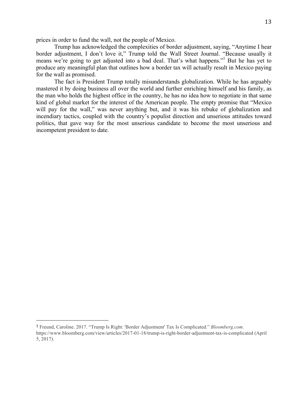prices in order to fund the wall, not the people of Mexico.

 Trump has acknowledged the complexities of border adjustment, saying, "Anytime I hear border adjustment, I don't love it," Trump told the Wall Street Journal. "Because usually it means we're going to get adjusted into a bad deal. That's what happens."<sup>1</sup> But he has yet to produce any meaningful plan that outlines how a border tax will actually result in Mexico paying for the wall as promised.

 The fact is President Trump totally misunderstands globalization. While he has arguably mastered it by doing business all over the world and further enriching himself and his family, as the man who holds the highest office in the country, he has no idea how to negotiate in that same kind of global market for the interest of the American people. The empty promise that "Mexico will pay for the wall," was never anything but, and it was his rebuke of globalization and incendiary tactics, coupled with the country's populist direction and unserious attitudes toward politics, that gave way for the most unserious candidate to become the most unserious and incompetent president to date.

 <sup>1</sup> Freund, Caroline. 2017. "Trump Is Right: 'Border Adjustment' Tax Is Complicated." *Bloomberg.com*. https://www.bloomberg.com/view/articles/2017-01-18/trump-is-right-border-adjustment-tax-is-complicated (April 5, 2017).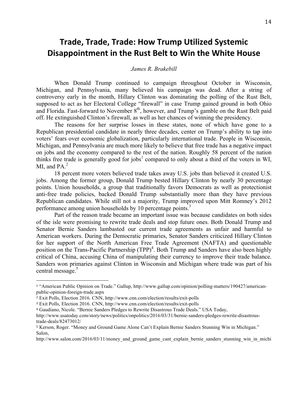# **Disappointment in the Rust Belt to Win the White House Trade, Trade, Trade: How Trump Utilized Systemic**

### *James R. Brakebill*

 Michigan, and Pennsylvania, many believed his campaign was dead. After a string of controversy early in the month, Hillary Clinton was dominating the polling of the Rust Belt, supposed to act as her Electoral College "firewall" in case Trump gained ground in both Ohio and Florida. Fast-forward to November  $8<sup>th</sup>$ , however, and Trump's gamble on the Rust Belt paid When Donald Trump continued to campaign throughout October in Wisconsin, off. He extinguished Clinton's firewall, as well as her chances of winning the presidency.

 Republican presidential candidate in nearly three decades, center on Trump's ability to tap into Michigan, and Pennsylvania are much more likely to believe that free trade has a negative impact on jobs and the economy compared to the rest of the nation. Roughly 58 percent of the nation thinks free trade is generally good for jobs<sup>1</sup> compared to only about a third of the voters in WI, MI, and  $PA.<sup>2</sup>$ The reasons for her surprise losses in these states, none of which have gone to a voters' fears over economic globalization, particularly international trade. People in Wisconsin,

 18 percent more voters believed trade takes away U.S. jobs than believed it created U.S. points. Union households, a group that traditionally favors Democrats as well as protectionist anti-free trade policies, backed Donald Trump substantially more than they have previous Republican candidates. While still not a majority, Trump improved upon Mitt Romney's 2012 jobs. Among the former group, Donald Trump bested Hillary Clinton by nearly 30 percentage performance among union households by 10 percentage points.<sup>3</sup>

 of the isle were promising to rewrite trade deals and stop future ones. Both Donald Trump and Senator Bernie Sanders lambasted our current trade agreements as unfair and harmful to American workers. During the Democratic primaries, Senator Sanders criticized Hillary Clinton for her support of the North American Free Trade Agreement (NAFTA) and questionable position on the Trans-Pacific Partnership (TPP)<sup>4</sup>. Both Trump and Sanders have also been highly critical of China, accusing China of manipulating their currency to improve their trade balance. Sanders won primaries against Clinton in Wisconsin and Michigan where trade was part of his central message.<sup>5</sup> Part of the reason trade became an important issue was because candidates on both sides

 <sup>1</sup> "American Public Opinion on Trade." Gallup, http://www.gallup.com/opinion/polling-matters/190427/americanpublic-opinion-foreign-trade.aspx

 <sup>2</sup> Exit Polls, Election 2016. CNN, http://www.cnn.com/election/results/exit-polls

 <sup>3</sup> Exit Polls, Election 2016. CNN, http://www.cnn.com/election/results/exit-polls

 <sup>4</sup> Gaudiano, Nicole. "Bernie Sanders Pledges to Rewrite Disastrous Trade Deals." USA Today,

http://www.usatoday.com/story/news/politics/onpolitics/2016/03/31/bernie-sanders-pledges-rewrite-disastroustrade-deals/82473012/

 <sup>5</sup> Kerson, Roger. "Money and Ground Game Alone Can't Explain Bernie Sanders Stunning Win in Michigan." Salon,

http://www.salon.com/2016/03/11/money and ground game cant explain bernie sanders stunning win in michi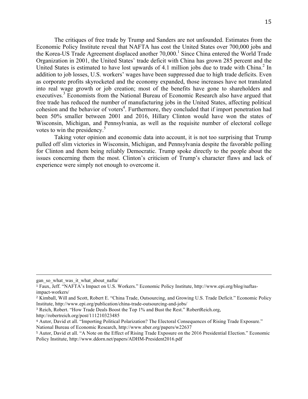Economic Policy Institute reveal that NAFTA has cost the United States over 700,000 jobs and the Korea-US Trade Agreement displaced another 70,000.<sup>1</sup> Since China entered the World Trade Organization in 2001, the United States' trade deficit with China has grown 285 percent and the United States is estimated to have lost upwards of 4.1 million jobs due to trade with China.<sup>2</sup> In addition to job losses, U.S. workers' wages have been suppressed due to high trade deficits. Even as corporate profits skyrocketed and the economy expanded, those increases have not translated into real wage growth or job creation; most of the benefits have gone to shareholders and executives.<sup>3</sup> Economists from the National Bureau of Economic Research also have argued that free trade has reduced the number of manufacturing jobs in the United States, affecting political cohesion and the behavior of voters<sup>4</sup>. Furthermore, they concluded that if import penetration had been 50% smaller between 2001 and 2016, Hillary Clinton would have won the states of Wisconsin, Michigan, and Pennsylvania, as well as the requisite number of electoral college The critiques of free trade by Trump and Sanders are not unfounded. Estimates from the votes to win the presidency.<sup>5</sup>

 Taking voter opinion and economic data into account, it is not too surprising that Trump pulled off slim victories in Wisconsin, Michigan, and Pennsylvania despite the favorable polling for Clinton and them being reliably Democratic. Trump spoke directly to the people about the issues concerning them the most. Clinton's criticism of Trump's character flaws and lack of experience were simply not enough to overcome it.

<u> 1989 - Andrea San Andrea San Andrea San Andrea San Andrea San Andrea San Andrea San Andrea San Andrea San An</u>

gan\_so\_what\_was\_it\_what\_about\_nafta/

 <sup>1</sup> Faux, Jeff. "NAFTA's Impact on U.S. Workers." Economic Policy Institute, http://www.epi.org/blog/naftasimpact-workers/

<sup>&</sup>lt;sup>2</sup> Kimball, Will and Scott, Robert E. "China Trade, Outsourcing, and Growing U.S. Trade Deficit." Economic Policy Institute, http://www.epi.org/publication/china-trade-outsourcing-and-jobs/

 <sup>3</sup> Reich, Robert. "How Trade Deals Boost the Top 1% and Bust the Rest." RobertReich.org,

http://robertreich.org/post/111210323485

 <sup>4</sup> Autor, David et all. "Importing Political Polarization? The Electoral Consequences of Rising Trade Exposure." National Bureau of Economic Research, http://www.nber.org/papers/w22637

 <sup>5</sup> Autor, David et all. "A Note on the Effect of Rising Trade Exposure on the 2016 Presidential Election." Economic Policy Institute, http://www.ddorn.net/papers/ADHM-President2016.pdf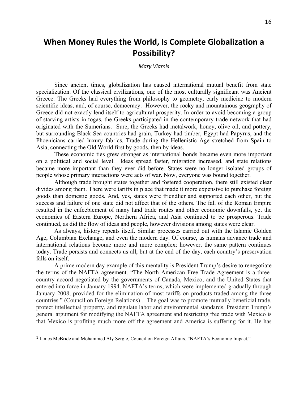# **When Money Rules the World, Is Complete Globalization a Possibility?**

*Mary Vlamis*

 Since ancient times, globalization has caused international mutual benefit from state specialization. Of the classical civilizations, one of the most culturally significant was Ancient Greece. The Greeks had everything from philosophy to geometry, early medicine to modern Greece did not exactly lend itself to agricultural prosperity. In order to avoid becoming a group of starving artists in togas, the Greeks participated in the contemporary trade network that had originated with the Sumerians. Sure, the Greeks had metalwork, honey, olive oil, and pottery, but surrounding Black Sea countries had grain, Turkey had timber, Egypt had Papyrus, and the Phoenicians carried luxury fabrics. Trade during the Hellenistic Age stretched from Spain to scientific ideas, and, of course, democracy. However, the rocky and mountainous geography of Asia, connecting the Old World first by goods, then by ideas.

 These economic ties grew stronger as international bonds became even more important on a political and social level. Ideas spread faster, migration increased, and state relations became more important than they ever did before. States were no longer isolated groups of people whose primary interactions were acts of war. Now, everyone was bound together.

 Although trade brought states together and fostered cooperation, there still existed clear divides among them. There were tariffs in place that made it more expensive to purchase foreign goods than domestic goods. And, yes, states were friendlier and supported each other, but the success and failure of one state did not affect that of the others. The fall of the Roman Empire resulted in the enfeeblement of many land trade routes and other economic downfalls, yet the economies of Eastern Europe, Northern Africa, and Asia continued to be prosperous. Trade continued, as did the flow of ideas and people, however divisions among states were clear.

 As always, history repeats itself. Similar processes carried out with the Islamic Golden Age, Columbian Exchange, and even the modern day. Of course, as humans advance trade and international relations become more and more complex; however, the same pattern continues today. Trade persists and connects us all, but at the end of the day, each country's preservation falls on itself.

 A prime modern day example of this mentality is President Trump's desire to renegotiate the terms of the NAFTA agreement. "The North American Free Trade Agreement is a three- country accord negotiated by the governments of Canada, Mexico, and the United States that January 2008, provided for the elimination of most tariffs on products traded among the three countries." (Council on Foreign Relations)<sup>1</sup>. The goal was to promote mutually beneficial trade, protect intellectual property, and regulate labor and environmental standards. President Trump's general argument for modifying the NAFTA agreement and restricting free trade with Mexico is that Mexico is profiting much more off the agreement and America is suffering for it. He has entered into force in January 1994. NAFTA's terms, which were implemented gradually through

<sup>&</sup>lt;sup>1</sup> James McBride and Mohammed Aly Sergie, Council on Foreign Affairs, "NAFTA's Economic Impact."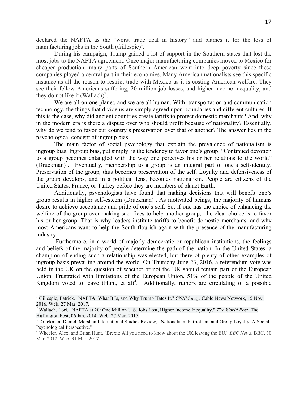declared the NAFTA as the "worst trade deal in history" and blames it for the loss of manufacturing jobs in the South  $(Gillespie)^1$ .

 During his campaign, Trump gained a lot of support in the Southern states that lost the most jobs to the NAFTA agreement. Once major manufacturing companies moved to Mexico for cheaper production, many parts of Southern American went into deep poverty since these companies played a central part in their economies. Many American nationalists see this specific instance as all the reason to restrict trade with Mexico as it is costing American welfare. They see their fellow Americans suffering, 20 million job losses, and higher income inequality, and they do not like it  $(Wallach)<sup>2</sup>$ .

 technology, the things that divide us are simply agreed upon boundaries and different cultures. If this is the case, why did ancient countries create tariffs to protect domestic merchants? And, why in the modern era is there a dispute over who should profit because of nationality? Essentially, why do we tend to favor our country's preservation over that of another? The answer lies in the We are all on one planet, and we are all human. With transportation and communication psychological concept of ingroup bias.

 ingroup bias. Ingroup bias, put simply, is the tendency to favor one's group. "Continued devotion to a group becomes entangled with the way one perceives his or her relations to the world" (Druckman)<sup>3</sup>. Eventually, membership to a group is an integral part of one's self-identity. Preservation of the group, thus becomes preservation of the self. Loyalty and defensiveness of the group develops, and in a political lens, becomes nationalism. People are citizens of the The main factor of social psychology that explain the prevalence of nationalism is United States, France, or Turkey before they are members of planet Earth.

 Additionally, psychologists have found that making decisions that will benefit one's group results in higher self-esteem (Druckman)<sup>4</sup>. As motivated beings, the majority of humans desire to achieve acceptance and pride of one's self. So, if one has the choice of enhancing the welfare of the group over making sacrifices to help another group, the clear choice is to favor his or her group. That is why leaders institute tariffs to benefit domestic merchants, and why most Americans want to help the South flourish again with the presence of the manufacturing industry.

 Furthermore, in a world of majorly democratic or republican institutions, the feelings and beliefs of the majority of people determine the path of the nation. In the United States, a champion of ending such a relationship was elected, but there of plenty of other examples of ingroup basis prevailing around the world. On Thursday June 23, 2016, a referendum vote was held in the UK on the question of whether or not the UK should remain part of the European Union. Frustrated with limitations of the European Union, 51% of the people of the United Kingdom voted to leave  $(Hunt, et al)<sup>4</sup>$ . Additionally, rumors are circulating of a possible

<sup>&</sup>lt;sup>1</sup> Gillespie, Patrick. "NAFTA: What It Is, and Why Trump Hates It." *CNNMoney*. Cable News Network, 15 Nov. 2016. Web. 27 Mar. 2017.

 2 Wallach, Lori. "NAFTA at 20: One Million U.S. Jobs Lost, Higher Income Inequality." *The World Post*. The Huffington Post, 06 Jan. 2014. Web. 27 Mar. 2017.

<sup>&</sup>lt;sup>3</sup> Druckman, Daniel. Mershen International Studies Review, "Nationalism, Patriotism, and Group Loyalty: A Social Psychological Perspective."<br><sup>4</sup> Wheeler, Alex, and Brian Hunt. "Brexit: All you need to know about the UK leaving the EU." *BBC News*. BBC, 30

 Mar. 2017. Web. 31 Mar. 2017.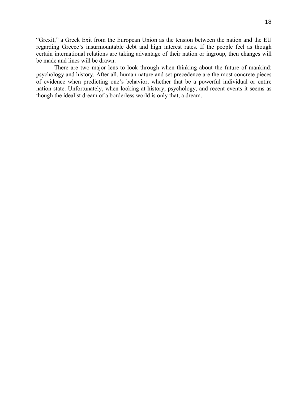"Grexit," a Greek Exit from the European Union as the tension between the nation and the EU regarding Greece's insurmountable debt and high interest rates. If the people feel as though certain international relations are taking advantage of their nation or ingroup, then changes will be made and lines will be drawn.

 There are two major lens to look through when thinking about the future of mankind: psychology and history. After all, human nature and set precedence are the most concrete pieces of evidence when predicting one's behavior, whether that be a powerful individual or entire nation state. Unfortunately, when looking at history, psychology, and recent events it seems as though the idealist dream of a borderless world is only that, a dream.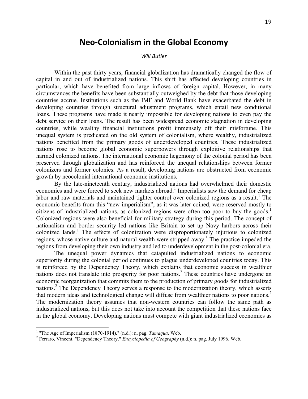### **Neo-Colonialism in the Global Economy**

#### *Will Butler*

 Within the past thirty years, financial globalization has dramatically changed the flow of capital in and out of industrialized nations. This shift has affected developing countries in particular, which have benefited from large inflows of foreign capital. However, in many circumstances the benefits have been substantially outweighed by the debt that those developing countries accrue. Institutions such as the IMF and World Bank have exacerbated the debt in developing countries through structural adjustment programs, which entail new conditional loans. These programs have made it nearly impossible for developing nations to even pay the debt service on their loans. The result has been widespread economic stagnation in developing countries, while wealthy financial institutions profit immensely off their misfortune. This unequal system is predicated on the old system of colonialism, where wealthy, industrialized nations benefited from the primary goods of underdeveloped countries. These industrialized nations rose to become global economic superpowers through exploitive relationships that harmed colonized nations. The international economic hegemony of the colonial period has been preserved through globalization and has reinforced the unequal relationships between former colonizers and former colonies. As a result, developing nations are obstructed from economic growth by neocolonial international economic institutions.

economies and were forced to seek new markets abroad.<sup>1</sup> Imperialists saw the demand for cheap labor and raw materials and maintained tighter control over colonized regions as a result.<sup>1</sup> The economic benefits from this "new imperialism", as it was later coined, were reserved mostly to citizens of industrialized nations, as colonized regions were often too poor to buy the goods.<sup>1</sup> Colonized regions were also beneficial for military strategy during this period. The concept of nationalism and border security led nations like Britain to set up Navy harbors across their colonized lands.<sup>1</sup> The effects of colonization were disproportionately injurious to colonized regions, whose native culture and natural wealth were stripped away.<sup>1</sup> The practice impeded the By the late-nineteenth century, industrialized nations had overwhelmed their domestic regions from developing their own industry and led to underdevelopment in the post-colonial era.

 The unequal power dynamics that catapulted industrialized nations to economic superiority during the colonial period continues to plague underdeveloped countries today. This is reinforced by the Dependency Theory, which explains that economic success in wealthier nations does not translate into prosperity for poor nations.<sup>2</sup> These countries have undergone an economic reorganization that commits them to the production of primary goods for industrialized nations.<sup>2</sup> The Dependency Theory serves a response to the modernization theory, which asserts that modern ideas and technological change will diffuse from wealthier nations to poor nations.<sup>2</sup> The modernization theory assumes that non-western countries can follow the same path as industrialized nations, but this does not take into account the competition that these nations face in the global economy. Developing nations must compete with giant industrialized economies as

Ì

<sup>&</sup>lt;sup>1</sup> "The Age of Imperialism (1870-1914)." (n.d.): n. pag. *Tamaqua*. Web.<br><sup>2</sup> Ferraro, Vincent. "Dependency Theory." *Encyclopedia of Geography* (n.d.): n. pag. July 1996. Web.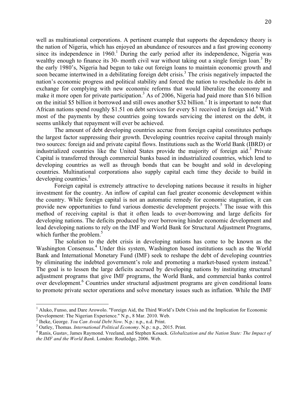well as multinational corporations. A pertinent example that supports the dependency theory is the nation of Nigeria, which has enjoyed an abundance of resources and a fast growing economy since its independence in  $1960<sup>1</sup>$  During the early period after its independence, Nigeria was wealthy enough to finance its 30- month civil war without taking out a single foreign loan.<sup>3</sup> By the early 1980's, Nigeria had begun to take out foreign loans to maintain economic growth and soon became intertwined in a debilitating foreign debt crisis.<sup>3</sup> The crisis negatively impacted the nation's economic progress and political stability and forced the nation to reschedule its debt in exchange for complying with new economic reforms that would liberalize the economy and make it more open for private participation.<sup>3</sup> As of 2006, Nigeria had paid more than \$16 billion on the initial \$5 billion it borrowed and still owes another \$32 billion.<sup>2</sup> It is important to note that African nations spend roughly \$1.51 on debt services for every \$1 received in foreign aid.<sup>4</sup> With most of the payments by these countries going towards servicing the interest on the debt, it seems unlikely that repayment will ever be achieved.

 The amount of debt developing countries accrue from foreign capital constitutes perhaps the largest factor suppressing their growth. Developing countries receive capital through mainly two sources: foreign aid and private capital flows. Institutions such as the World Bank (IBRD) or industrialized countries like the United States provide the majority of foreign aid.<sup>3</sup> Private Capital is transferred through commercial banks based in industrialized countries, which lend to developing countries as well as through bonds that can be bought and sold in developing countries. Multinational corporations also supply capital each time they decide to build in developing countries.<sup>5</sup>

 Foreign capital is extremely attractive to developing nations because it results in higher investment for the country. An inflow of capital can fuel greater economic development within the country. While foreign capital is not an automatic remedy for economic stagnation, it can provide new opportunities to fund various domestic development projects.<sup>5</sup> The issue with this method of receiving capital is that it often leads to over-borrowing and large deficits for developing nations. The deficits produced by over borrowing hinder economic development and lead developing nations to rely on the IMF and World Bank for Structural Adjustment Programs, which further the problem.<sup>5</sup>

 The solution to the debt crisis in developing nations has come to be known as the Washington Consensus.<sup>4</sup> Under this system, Washington based institutions such as the World Bank and International Monetary Fund (IMF) seek to reshape the debt of developing countries by eliminating the indebted government's role and promoting a market-based system instead.<sup>6</sup> The goal is to lessen the large deficits accrued by developing nations by instituting structural adjustment programs that give IMF programs, the World Bank, and commercial banks control over development.<sup>6</sup> Countries under structural adjustment programs are given conditional loans to promote private sector operations and solve monetary issues such as inflation. While the IMF

<sup>&</sup>lt;sup>1</sup> Aluko, Funso, and Dare Arowolo. "Foreign Aid, the Third World's Debt Crisis and the Implication for Economic Development: The Nigerian Experience." N.p., 8 Mar. 2010. Web.

<sup>&</sup>lt;sup>2</sup> Iheke, George. *You Can Avoid Debt Now*. N.p.: n.p., n.d. Print.

<sup>&</sup>lt;sup>3</sup> Oatley, Thomas. *International Political Economy*. N.p.: n.p., 2015. Print.

<sup>&</sup>lt;sup>2</sup> Iheke, George. *You Can Avoid Debt Now. N.p.: n.p., n.d. Print.*<br><sup>3</sup> Oatley, Thomas. *International Political Economy*. N.p.: n.p., 2015. Print.<br><sup>4</sup> Ranis, Gustav, James Raymond. Vreeland, and Stephen Kosack. *Globaliz the IMF and the World Bank*. London: Routledge, 2006. Web.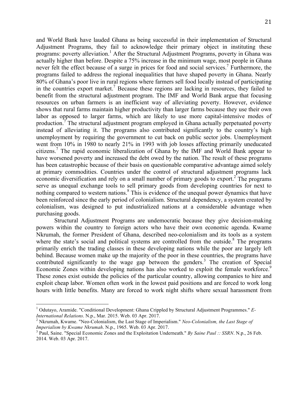and World Bank have lauded Ghana as being successful in their implementation of Structural programs: poverty alleviation.<sup>1</sup> After the Structural Adjustment Programs, poverty in Ghana was actually higher than before. Despite a 75% increase in the minimum wage, most people in Ghana never felt the effect because of a surge in prices for food and social services.<sup>7</sup> Furthermore, the programs failed to address the regional inequalities that have shaped poverty in Ghana. Nearly 80% of Ghana's poor live in rural regions where farmers sell food locally instead of participating in the countries export market.<sup>7</sup> Because these regions are lacking in resources, they failed to benefit from the structural adjustment program. The IMF and World Bank argue that focusing resources on urban farmers is an inefficient way of alleviating poverty. However, evidence shows that rural farms maintain higher productivity than larger farms because they use their own labor as opposed to larger farms, which are likely to use more capital-intensive modes of production.<sup>7</sup> The structural adjustment program employed in Ghana actually perpetuated poverty instead of alleviating it. The programs also contributed significantly to the country's high unemployment by requiring the government to cut back on public sector jobs. Unemployment went from 10% in 1980 to nearly 21% in 1993 with job losses affecting primarily uneducated citizens.7 The rapid economic liberalization of Ghana by the IMF and World Bank appear to have worsened poverty and increased the debt owed by the nation. The result of these programs has been catastrophic because of their basis on questionable comparative advantage aimed solely at primary commodities. Countries under the control of structural adjustment programs lack economic diversification and rely on a small number of primary goods to export.<sup>2</sup> The programs serve as unequal exchange tools to sell primary goods from developing countries for next to nothing compared to western nations.<sup>8</sup> This is evidence of the unequal power dynamics that have been reinforced since the early period of colonialism. Structural dependency, a system created by colonialism, was designed to put industrialized nations at a considerable advantage when Adjustment Programs, they fail to acknowledge their primary object in instituting these purchasing goods.

 Structural Adjustment Programs are undemocratic because they give decision-making powers within the country to foreign actors who have their own economic agenda. Kwame Nkrumah, the former President of Ghana, described neo-colonialism and its tools as a system where the state's social and political systems are controlled from the outside. $8$  The programs primarily enrich the trading classes in these developing nations while the poor are largely left behind. Because women make up the majority of the poor in these countries, the programs have contributed significantly to the wage gap between the genders.<sup>3</sup> The creation of Special Economic Zones within developing nations has also worked to exploit the female workforce.<sup>9</sup> These zones exist outside the policies of the particular country, allowing companies to hire and exploit cheap labor. Women often work in the lowest paid positions and are forced to work long hours with little benefits. Many are forced to work night shifts where sexual harassment from

<sup>&</sup>lt;sup>1</sup> Odutayo, Aramide. "Conditional Development: Ghana Crippled by Structural Adjustment Programmes." E-*International Relations*. N.p., Mar. 2015. Web. 03 Apr. 2017.<br><sup>2</sup> Nkrumah, Kwame. "Neo-Colonialism, the Last Stage of Imperialism." *Neo-Colonialism, the Last Stage of* 

Imperialism by Kwame Nkrumah. N.p., 1965. Web. 03 Apr. 2017.

*Imperialism by Kwame Nkrumah*. N.p., 1965. Web. 03 Apr. 2017.<br><sup>3</sup> Paul, Saine. "Special Economic Zones and the Exploitation Underneath." *By Saine Paul :: SSRN*. N.p., 26 Feb. 2014. Web. 03 Apr. 2017.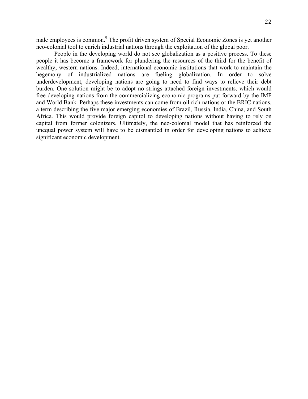male employees is common.<sup>9</sup> The profit driven system of Special Economic Zones is yet another neo-colonial tool to enrich industrial nations through the exploitation of the global poor.

 People in the developing world do not see globalization as a positive process. To these people it has become a framework for plundering the resources of the third for the benefit of wealthy, western nations. Indeed, international economic institutions that work to maintain the hegemony of industrialized nations are fueling globalization. In order to solve underdevelopment, developing nations are going to need to find ways to relieve their debt burden. One solution might be to adopt no strings attached foreign investments, which would free developing nations from the commercializing economic programs put forward by the IMF and World Bank. Perhaps these investments can come from oil rich nations or the BRIC nations, a term describing the five major emerging economies of Brazil, Russia, India, China, and South Africa. This would provide foreign capitol to developing nations without having to rely on capital from former colonizers. Ultimately, the neo-colonial model that has reinforced the unequal power system will have to be dismantled in order for developing nations to achieve significant economic development.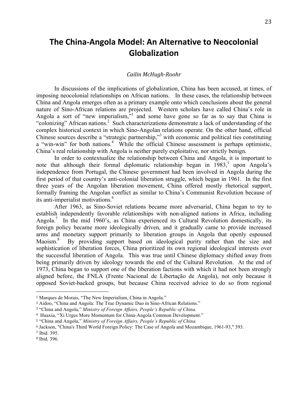# **The China-Angola Model: An Alternative to Neocolonial Globalization**

#### *Cailin McHugh-Roohr*

 In discussions of the implications of globalization, China has been accused, at times, of imposing neocolonial relationships on African nations. In these cases, the relationship between China and Angola emerges often as a primary example onto which conclusions about the general nature of Sino-African relations are projected. Western scholars have called China's role in Angola a sort of "new imperialism,"<sup>1</sup> and some have gone so far as to say that China is "colonizing" African nations.<sup>2</sup> Such characterizations demonstrate a lack of understanding of the complex historical context in which Sino-Angolan relations operate. On the other hand, official Chinese sources describe a "strategic partnership,"3 with economic and political ties constituting a "win-win" for both nations.<sup>4</sup> While the official Chinese assessment is perhaps optimistic, China's real relationship with Angola is neither purely exploitative, nor strictly benign.

 In order to contextualize the relationship between China and Angola, it is important to note that although their formal diplomatic relationship began in  $1983$ , upon Angola's independence from Portugal, the Chinese government had been involved in Angola during the first period of that country's anti-colonial liberation struggle, which began in 1961. In the first three years of the Angolan liberation movement, China offered mostly rhetorical support, formally framing the Angolan conflict as similar to China's Communist Revolution because of its anti-imperialist motivations.<sup>6</sup>

 After 1963, as Sino-Soviet relations became more adversarial, China began to try to Angola.<sup>7</sup> In the mid 1960's, as China experienced its Cultural Revolution domestically, its foreign policy became more ideologically driven, and it gradually came to provide increased arms and monetary support primarily to liberation groups in Angola that openly espoused Maoism.<sup>8</sup> sophistication of liberation forces, China prioritized its own regional ideological interests over the successful liberation of Angola. This was true until Chinese diplomacy shifted away from being primarily driven by ideology towards the end of the Cultural Revolution. At the end of 1973, China began to support one of the liberation factions with which it had not been strongly aligned before, the FNLA (Frente Nacional de Libertação de Angola), not only because it opposed Soviet-backed groups, but because China received advice to do so from regional establish independently favorable relationships with non-aligned nations in Africa, including By providing support based on ideological purity rather than the size and

<sup>&</sup>lt;sup>1</sup> Marques de Morais, "The New Imperialism, China in Angola."

<sup>&</sup>lt;sup>2</sup> Aidoo, "China and Angola: The True Dynamic Duo in Sino-African Relations."

 <sup>3</sup> "China and Angola," *Ministry of Foreign Affairs, People's Republic of China.* 

 <sup>4</sup> Huaxia, "Xi Urges More Momentum for China-Angola Common Development."

 <sup>5</sup> "China and Angola," *Ministry of Foreign Affairs, People's Republic of China.* 

 <sup>6</sup> Jackson, "China's Third World Foreign Policy: The Case of Angola and Mozambique, 1961-93," 393.

<sup>7</sup> Ibid. 395.

<sup>8</sup> Ibid. 396.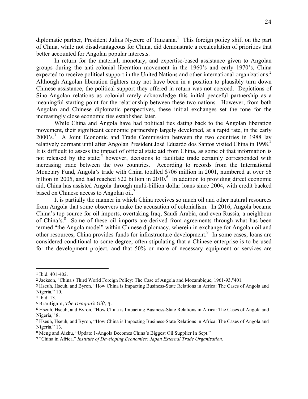diplomatic partner, President Julius Nyerere of Tanzania.<sup>1</sup> This foreign policy shift on the part of China, while not disadvantageous for China, did demonstrate a recalculation of priorities that better accounted for Angolan popular interests.

 groups during the anti-colonial liberation movement in the 1960's and early 1970's, China expected to receive political support in the United Nations and other international organizations.<sup>2</sup> Although Angolan liberation fighters may not have been in a position to plausibly turn down Chinese assistance, the political support they offered in return was not coerced. Depictions of Sino-Angolan relations as colonial rarely acknowledge this initial peaceful partnership as a meaningful starting point for the relationship between these two nations. However, from both Angolan and Chinese diplomatic perspectives, these initial exchanges set the tone for the In return for the material, monetary, and expertise-based assistance given to Angolan increasingly close economic ties established later.

 While China and Angola have had political ties dating back to the Angolan liberation movement, their significant economic partnership largely developed, at a rapid rate, in the early 2000's.<sup>3</sup> A Joint Economic and Trade Commission between the two countries in 1988 lay relatively dormant until after Angolan President José Eduardo dos Santos visited China in 1998.<sup>4</sup> It is difficult to assess the impact of official state aid from China, as some of that information is not released by the state;<sup>5</sup> however, decisions to facilitate trade certainly corresponded with increasing trade between the two countries. According to records from the International Monetary Fund, Angola's trade with China totalled \$706 million in 2001, numbered at over \$6 billion in 2005, and had reached \$22 billion in 2010.<sup>6</sup> In addition to providing direct economic aid, China has assisted Angola through multi-billion dollar loans since 2004, with credit backed based on Chinese access to Angolan oil.<sup>7</sup>

 It is partially the manner in which China receives so much oil and other natural resources from Angola that some observers make the accusation of colonialism. In 2016, Angola became China's top source for oil imports, overtaking Iraq, Saudi Arabia, and even Russia, a neighbour of China's.<sup>8</sup> Some of these oil imports are derived from agreements through what has been termed "the Angola model" within Chinese diplomacy, wherein in exchange for Angolan oil and other resources, China provides funds for infrastructure development.<sup>9</sup> In some cases, loans are considered conditional to some degree, often stipulating that a Chinese enterprise is to be used for the development project, and that 50% or more of necessary equipment or services are

<sup>1</sup> Ibid. 401-402.

 <sup>2</sup> Jackson, "China's Third World Foreign Policy: The Case of Angola and Mozambique, 1961-93,"401.

 <sup>3</sup> Hseuh, Hseuh, and Byron, "How China is Impacting Business-State Relations in Africa: The Cases of Angola and Nigeria," 10.

<sup>4</sup> Ibid. 13.

 <sup>5</sup> Brautigam, *The Dragon's Gift*, 3.

 <sup>6</sup> Hseuh, Hseuh, and Byron, "How China is Impacting Business-State Relations in Africa: The Cases of Angola and Nigeria," 8.

 <sup>7</sup> Hseuh, Hseuh, and Byron, "How China is Impacting Business-State Relations in Africa: The Cases of Angola and Nigeria," 13.

<sup>&</sup>lt;sup>8</sup> Meng and Aizhu, "Update 1-Angola Becomes China's Biggest Oil Supplier In Sept."

 <sup>9</sup> "China in Africa." *Institute of Developing Economies: Japan External Trade Organization.*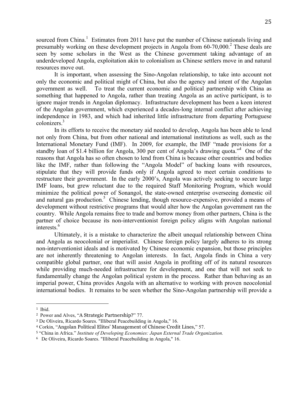sourced from China.<sup>1</sup> Estimates from 2011 have put the number of Chinese nationals living and presumably working on these development projects in Angola from  $60-70,000$ .<sup>2</sup> These deals are seen by some scholars in the West as the Chinese government taking advantage of an underdeveloped Angola, exploitation akin to colonialism as Chinese settlers move in and natural resources move out.

 It is important, when assessing the Sino-Angolan relationship, to take into account not only the economic and political might of China, but also the agency and intent of the Angolan government as well. something that happened to Angola, rather than treating Angola as an active participant, is to ignore major trends in Angolan diplomacy. Infrastructure development has been a keen interest of the Angolan government, which experienced a decades-long internal conflict after achieving independence in 1983, and which had inherited little infrastructure from departing Portuguese colonizers.3 To treat the current economic and political partnership with China as

 In its efforts to receive the monetary aid needed to develop, Angola has been able to lend not only from China, but from other national and international institutions as well, such as the International Monetary Fund (IMF). In 2009, for example, the IMF "made provisions for a standby loan of \$1.4 billion for Angola, 300 per cent of Angola's drawing quota."<sup>4</sup> One of the reasons that Angola has so often chosen to lend from China is because other countries and bodies like the IMF, rather than following the "Angola Model" of backing loans with resources, stipulate that they will provide funds only if Angola agreed to meet certain conditions to restructure their government. In the early 2000's, Angola was actively seeking to secure large IMF loans, but grew reluctant due to the required Staff Monitoring Program, which would minimize the political power of Sonangol, the state-owned enterprise overseeing domestic oil and natural gas production.<sup>5</sup> Chinese lending, though resource-expensive, provided a means of development without restrictive programs that would alter how the Angolan government ran the country. While Angola remains free to trade and borrow money from other partners, China is the partner of choice because its non-interventionist foreign policy aligns with Angolan national interests.<sup>6</sup>

 Ultimately, it is a mistake to characterize the albeit unequal relationship between China and Angola as neocolonial or imperialist. Chinese foreign policy largely adheres to its strong non-interventionist ideals and is motivated by Chinese economic expansion, but those principles are not inherently threatening to Angolan interests. In fact, Angola finds in China a very compatible global partner, one that will assist Angola in profiting off of its natural resources while providing much-needed infrastructure for development, and one that will not seek to fundamentally change the Angolan political system in the process. Rather than behaving as an imperial power, China provides Angola with an alternative to working with proven neocolonial international bodies. It remains to be seen whether the Sino-Angolan partnership will provide a

 <sup>1</sup> Ibid.

 <sup>2</sup> Power and Alves, "A Strategic Partnership?" 77.

 <sup>3</sup> De Oliveira, Ricardo Soares. "Illiberal Peacebuilding in Angola," 16.

 <sup>4</sup> Corkin, "Angolan Political Elites' Management of Chinese Credit Lines," 57.

 <sup>5</sup> "China in Africa." *Institute of Developing Economies: Japan External Trade Organization.* 

 <sup>6</sup> De Oliveira, Ricardo Soares. "Illiberal Peacebuilding in Angola," 16.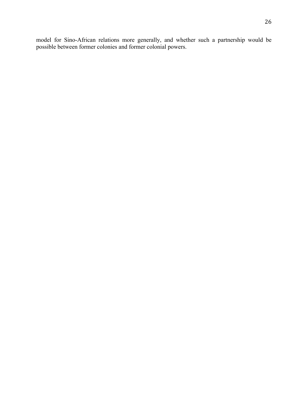model for Sino-African relations more generally, and whether such a partnership would be possible between former colonies and former colonial powers.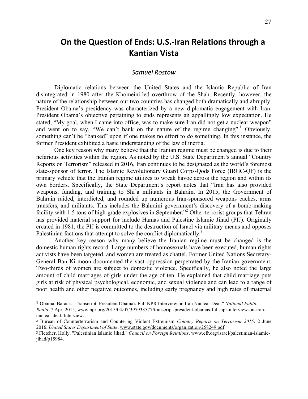# **On the Question of Ends: U.S.-Iran Relations through a Kantian Vista**

### *Samuel Rostow*

 Diplomatic relations between the United States and the Islamic Republic of Iran disintegrated in 1980 after the Khomeini-led overthrow of the Shah. Recently, however, the nature of the relationship between our two countries has changed both dramatically and abruptly. President Obama's presidency was characterized by a new diplomatic engagement with Iran. President Obama's objective pertaining to ends represents an appallingly low expectation. He stated, "My goal, when I came into office, was to make sure Iran did not get a nuclear weapon" and went on to say, "We can't bank on the nature of the regime changing".<sup>1</sup> Obviously, something can't be "banked" upon if one makes no effort to *do* something. In this instance, the former President exhibited a basic understanding of the law of inertia.

 One key reason why many believe that the Iranian regime must be changed is due to their nefarious activities within the region. As noted by the U.S. State Department's annual "Country Reports on Terrorism" released in 2016, Iran continues to be designated as the world's foremost state-sponsor of terror. The Islamic Revolutionary Guard Corps-Qods Force (IRGC-QF) is the primary vehicle that the Iranian regime utilizes to wreak havoc across the region and within its own borders. Specifically, the State Department's report notes that "Iran has also provided weapons, funding, and training to Shi'a militants in Bahrain. In 2015, the Government of transfers, and militants. This includes the Bahraini government's discovery of a bomb-making facility with 1.5 tons of high-grade explosives in September."<sup>2</sup> Other terrorist groups that Tehran has provided material support for include Hamas and Palestine Islamic Jihad (PIJ). Originally created in 1981, the PIJ is committed to the destruction of Israel via military means and opposes Bahrain raided, interdicted, and rounded up numerous Iran-sponsored weapons caches, arms Palestinian factions that attempt to solve the conflict diplomatically.<sup>3</sup>

 Another key reason why many believe the Iranian regime must be changed is the domestic human rights record. Large numbers of homosexuals have been executed, human rights activists have been targeted, and women are treated as chattel. Former United Nations Secretary- General Ban Ki-moon documented the vast oppression perpetrated by the Iranian government. Two-thirds of women are subject to domestic violence. Specifically, he also noted the large amount of child marriages of girls under the age of ten. He explained that child marriage puts girls at risk of physical psychological, economic, and sexual violence and can lead to a range of poor health and other negative outcomes, including early pregnancy and high rates of maternal

 <sup>1</sup> Obama, Barack. "Transcript: President Obama's Full NPR Interview on Iran Nuclear Deal." *National Public Radio*, 7 Apr. 2015, www.npr.org/2015/04/07/397933577/transcript-president-obamas-full-npr-interview-on-irannuclear-deal. Interview.

 <sup>2</sup> Bureau of Counterterrorism and Countering Violent Extremism. *Country Reports on Terrorism 2015*. 2 June  2016. *United States Department of State*, www.state.gov/documents/organization/258249.pdf.

 <sup>3</sup> Fletcher, Holly. "Palestinian Islamic Jihad." *Council on Foreign Relations*, www.cfr.org/israel/palestinian-islamicjihad/p15984.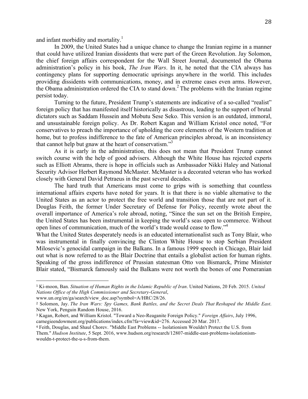and infant morbidity and mortality.<sup>1</sup>

 In 2009, the United States had a unique chance to change the Iranian regime in a manner that could have utilized Iranian dissidents that were part of the Green Revolution. Jay Solomon, the chief foreign affairs correspondent for the Wall Street Journal, documented the Obama administration's policy in his book, *The Iran Wars*. In it, he noted that the CIA always has contingency plans for supporting democratic uprisings anywhere in the world. This includes providing dissidents with communications, money, and in extreme cases even arms. However, the Obama administration ordered the CIA to stand down.<sup>2</sup> The problems with the Iranian regime persist today.

 Turning to the future, President Trump's statements are indicative of a so-called "realist" foreign policy that has manifested itself historically as disastrous, leading to the support of brutal dictators such as Saddam Hussein and Mobutu Sese Seko. This version is an outdated, immoral, and unsustainable foreign policy. As Dr. Robert Kagan and William Kristol once noted, "For conservatives to preach the importance of upholding the core elements of the Western tradition at home, but to profess indifference to the fate of American principles abroad, is an inconsistency that cannot help but gnaw at the heart of conservatism."<sup>3</sup>

 switch course with the help of good advisers. Although the White House has rejected experts such as Elliott Abrams, there is hope in officials such as Ambassador Nikki Haley and National Security Advisor Herbert Raymond McMaster. McMaster is a decorated veteran who has worked As it is early in the administration, this does not mean that President Trump cannot closely with General David Petraeus in the past several decades.

 international affairs experts have noted for years. It is that there is no viable alternative to the United States as an actor to protect the free world and transition those that are not part of it. Douglas Feith, the former Under Secretary of Defense for Policy, recently wrote about the overall importance of America's role abroad, noting, "Since the sun set on the British Empire, the United States has been instrumental in keeping the world's seas open to commerce. Without The hard truth that Americans must come to grips with is something that countless open lines of communication, much of the world's trade would cease to flow."4

 What the United States desperately needs is an educated internationalist such as Tony Blair, who was instrumental in finally convincing the Clinton White House to stop Serbian President Milosevic's genocidal campaign in the Balkans. In a famous 1999 speech in Chicago, Blair laid out what is now referred to as the Blair Doctrine that entails a globalist action for human rights. Speaking of the gross indifference of Prussian statesman Otto von Bismarck, Prime Minister Blair stated, "Bismarck famously said the Balkans were not worth the bones of one Pomeranian

 <sup>1</sup> Ki-moon, Ban. *Situation of Human Rights in the Islamic Republic of Iran*. United Nations, 20 Feb. 2015. *United Nations Office of the High Commissioner and Secretary-General*,

www.un.org/en/ga/search/view\_doc.asp?symbol=A/HRC/28/26.

 <sup>2</sup> Solomon, Jay. *The Iran Wars: Spy Games, Bank Battles, and the Secret Deals That Reshaped the Middle East*. New York, Penguin Random House, 2016.

 <sup>3</sup> Kagan, Robert, and William Kristol. "Toward a Neo-Reaganite Foreign Policy." *Foreign Affairs*, July 1996, carnegieendowment.org/publications/index.cfm?fa=view&id=276. Accessed 20 Mar. 2017.

 <sup>4</sup> Feith, Douglas, and Shaul Chorev. "Middle East Problems -- Isolationism Wouldn't Protect the U.S. from Them." *Hudson Institute*, 5 Sept. 2016, www.hudson.org/research/12807-middle-east-problems-isolationismwouldn-t-protect-the-u-s-from-them.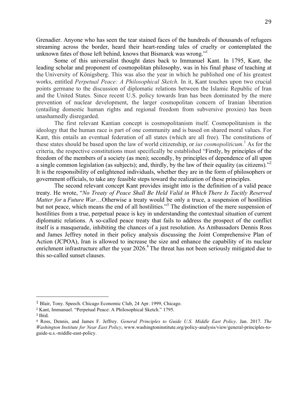Grenadier. Anyone who has seen the tear stained faces of the hundreds of thousands of refugees streaming across the border, heard their heart-rending tales of cruelty or contemplated the unknown fates of those left behind, knows that Bismarck was wrong."

 Some of this universalist thought dates back to Immanuel Kant. In 1795, Kant, the leading scholar and proponent of cosmopolitan philosophy, was in his final phase of teaching at the University of Königsberg. This was also the year in which he published one of his greatest  works, entitled *Perpetual Peace: A Philosophical Sketch*. In it, Kant touches upon two crucial points germane to the discussion of diplomatic relations between the Islamic Republic of Iran and the United States. Since recent U.S. policy towards Iran has been dominated by the mere prevention of nuclear development, the larger cosmopolitan concern of Iranian liberation (entailing domestic human rights and regional freedom from subversive proxies) has been unashamedly disregarded.

 ideology that the human race is part of one community and is based on shared moral values. For Kant, this entails an eventual federation of all states (which are all free). The constitutions of these states should be based upon the law of world citizenship, or *ius cosmopoliticum*. 1 As for the criteria, the respective constitutions must specifically be established "Firstly, by principles of the freedom of the members of a society (as men); secondly, by principles of dependence of all upon a single common legislation (as subjects); and, thirdly, by the law of their equality (as citizens)."<sup>2</sup> It is the responsibility of enlightened individuals, whether they are in the form of philosophers or The first relevant Kantian concept is cosmopolitanism itself. Cosmopolitanism is the government officials, to take any feasible steps toward the realization of these principles.

 treaty. He wrote, "*No Treaty of Peace Shall Be Held Valid in Which There Is Tacitly Reserved Matter for a Future War*...Otherwise a treaty would be only a truce, a suspension of hostilities but not peace, which means the end of all hostilities."<sup>3</sup> The distinction of the mere suspension of hostilities from a true, perpetual peace is key in understanding the contextual situation of current diplomatic relations. A so-called peace treaty that fails to address the prospect of the conflict itself is a masquerade, inhibiting the chances of a just resolution. As Ambassadors Dennis Ross and James Jeffrey noted in their policy analysis discussing the Joint Comprehensive Plan of Action (JCPOA), Iran is allowed to increase the size and enhance the capability of its nuclear enrichment infrastructure after the year 2026.<sup>4</sup> The threat has not been seriously mitigated due to The second relevant concept Kant provides insight into is the definition of a valid peace this so-called sunset clauses.

 <sup>1</sup> Blair, Tony. Speech. Chicago Economic Club, 24 Apr. 1999, Chicago.

 <sup>2</sup> Kant, Immanuel. "Perpetual Peace: A Philosophical Sketch." 1795.

 <sup>3</sup> Ibid.

 <sup>4</sup> Ross, Dennis, and James F. Jeffrey. *General Principles to Guide U.S. Middle East Policy*. Jan. 2017. *The Washington Institute for Near East Policy*, www.washingtoninstitute.org/policy-analysis/view/general-principles-toguide-u.s.-middle-east-policy.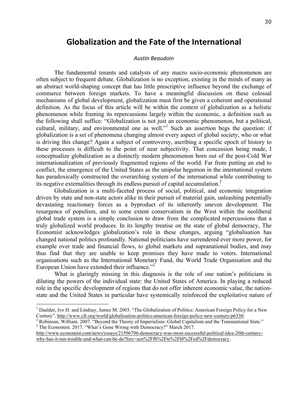### **Globalization and the Fate of the International**

#### *Austin Beaudoin*

 The fundamental tenants and catalysts of any macro socio-economic phenomenon are often subject to frequent debate. Globalization is no exception, existing in the minds of many as an abstract world-shaping concept that has little prescriptive influence beyond the exchange of commerce between foreign markets. To have a meaningful discussion on these colossal mechanisms of global development, globalization must first be given a coherent and operational definition. As the focus of this article will be within the context of globalization as a holistic phenomenon while framing its repercussions largely within the economic, a definition such as the following shall suffice: "Globalization is not just an economic phenomenon, but a political, cultural, military, and environmental one as well."<sup>1</sup> Such an assertion begs the question: if globalization is a set of phenomena changing almost every aspect of global society, who or what is driving this change? Again a subject of controversy, ascribing a specific epoch of history to these processes is difficult to the point of near subjectivity. That concession being made, I conceptualize globalization as a distinctly modern phenomenon born out of the post-Cold War internationalization of previously fragmented regions of the world. Far from putting an end to conflict, the emergence of the United States as the unipolar hegemon in the international system has paradoxically constructed the overarching system of the international while contributing to its negative externalities through its endless pursuit of capital accumulation.<sup>2</sup>

 Globalization is a multi-faceted process of social, political, and economic integration driven by state and non-state actors alike in their pursuit of material gain, unleashing potentially devastating reactionary forces as a byproduct of its inherently uneven development. The resurgence of populism, and to some extent conservatism in the West within the neoliberal global trade system is a simple conclusion to draw from the complicated repercussions that a truly globalized world produces. In its lengthy treatise on the state of global democracy, The Economist acknowledges globalization's role in these changes, arguing "globalisation has changed national politics profoundly. National politicians have surrendered ever more power, for example over trade and financial flows, to global markets and supranational bodies, and may thus find that they are unable to keep promises they have made to voters. International organisations such as the International Monetary Fund, the World Trade Organisation and the European Union have extended their influence."<sup>3</sup>

 What is glaringly missing in this diagnosis is the role of one nation's politicians in diluting the powers of the individual state: the United States of America. In playing a reduced role in the specific development of regions that do not offer inherent economic value, the nation-state and the United States in particular have systemically reinforced the exploitative nature of

<sup>&</sup>lt;sup>1</sup> Daalder, Ivo H. and Lindsay, James M. 2003. "The Globalization of Politics: American Foreign Policy for a New Century". http://www.cfr.org/world/globalization-politics-american-foreign-policy-new-century/p6330.<br><sup>2</sup> Robinson, William. 2007. "Beyond the Theory of Imperialism: Global Capitalism and the Transnational State."

<sup>&</sup>lt;sup>3</sup> The Economist. 2017. "What's Gone Wrong with Democracy?" March 2017.

http://www.economist.com/news/essays/21596796-democracy-was-most-successful-political-idea-20th-centurywhy-has-it-run-trouble-and-what-can-be-do?fsrc=scn%2Ffb%2Fte%2Fbl%2Fed%2Fdemocracy.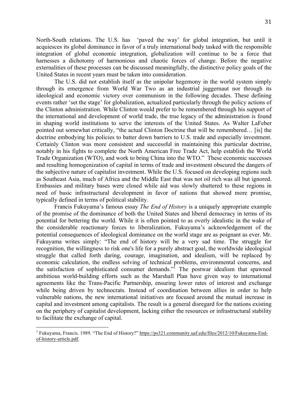North-South relations. The U.S. has 'paved the way' for global integration, but until it acquiesces its global dominance in favor of a truly international body tasked with the responsible integration of global economic integration, globalization will continue to be a force that harnesses a dichotomy of harmonious and chaotic forces of change. Before the negative externalities of these processes can be discussed meaningfully, the distinctive policy goals of the United States in recent years must be taken into consideration.

 The U.S. did not establish itself as the unipolar hegemony in the world system simply through its emergence from World War Two as an industrial juggernaut nor through its ideological and economic victory over communism in the following decades. These defining events rather 'set the stage' for globalization, actualized particularly through the policy actions of the Clinton administration. While Clinton would prefer to be remembered through his support of the international and development of world trade, the true legacy of the administration is found in shaping world institutions to serve the interests of the United States. As Walter LaFeber pointed out somewhat critically, "the actual Clinton Doctrine that will be remembered… [is] the doctrine embodying his policies to batter down barriers to U.S. trade and especially investment. Certainly Clinton was more consistent and successful in maintaining this particular doctrine, notably in his fights to complete the North American Free Trade Act, help establish the World Trade Organization (WTO), and work to bring China into the WTO." These economic successes and resulting homogenization of capital in terms of trade and investment obscured the dangers of the subjective nature of capitalist investment. While the U.S. focused on developing regions such as Southeast Asia, much of Africa and the Middle East that was not oil rich was all but ignored. Embassies and military bases were closed while aid was slowly shuttered to these regions in need of basic infrastructural development in favor of nations that showed more promise, typically defined in terms of political stability.

 Francis Fukuyama's famous essay *The End of History* is a uniquely appropriate example of the promise of the dominance of both the United States and liberal democracy in terms of its potential for bettering the world. While it is often pointed to as overly idealistic in the wake of the considerable reactionary forces to liberalization, Fukuyama's acknowledgement of the potential consequences of ideological dominance on the world stage are as poignant as ever. Mr. Fukuyama writes simply: "The end of history will be a very sad time. The struggle for recognition, the willingness to risk one's life for a purely abstract goal, the worldwide ideological struggle that called forth daring, courage, imagination, and idealism, will be replaced by economic calculation, the endless solving of technical problems, environmental concerns, and the satisfaction of sophisticated consumer demands."<sup>1</sup> The postwar idealism that spawned ambitious world-building efforts such as the Marshall Plan have given way to international agreements like the Trans-Pacific Partnership, ensuring lower rates of interest and exchange vulnerable nations, the new international initiatives are focused around the mutual increase in capital and investment among capitalists. The result is a general disregard for the nations existing on the periphery of capitalist development, lacking either the resources or infrastructural stability while being driven by technocrats. Instead of coordination between allies in order to help to facilitate the exchange of capital.

<sup>&</sup>lt;sup>1</sup> Fukuyama, Francis. 1989. "The End of History?" https://ps321.community.uaf.edu/files/2012/10/Fukuyama-Endof-history-article.pdf.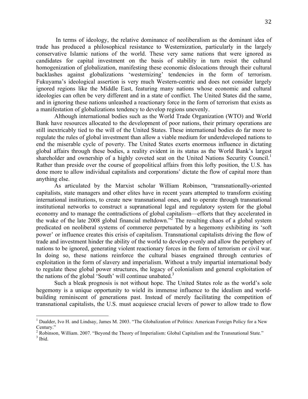In terms of ideology, the relative dominance of neoliberalism as the dominant idea of trade has produced a philosophical resistance to Westernization, particularly in the largely conservative Islamic nations of the world. These very same nations that were ignored as candidates for capital investment on the basis of stability in turn resist the cultural homogenization of globalization, manifesting these economic dislocations through their cultural backlashes against globalizations 'westernizing' tendencies in the form of terrorism. Fukuyama's ideological assertion is very much Western-centric and does not consider largely ignored regions like the Middle East, featuring many nations whose economic and cultural ideologies can often be very different and in a state of conflict. The United States did the same, and in ignoring these nations unleashed a reactionary force in the form of terrorism that exists as a manifestation of globalizations tendency to develop regions unevenly.

 Although international bodies such as the World Trade Organization (WTO) and World Bank have resources allocated to the development of poor nations, their primary operations are still inextricably tied to the will of the United States. These international bodies do far more to regulate the rules of global investment than allow a viable medium for underdeveloped nations to end the miserable cycle of poverty. The United States exerts enormous influence in dictating global affairs through these bodies, a reality evident in its status as the World Bank's largest shareholder and ownership of a highly coveted seat on the United Nations Security Council.<sup>1</sup> Rather than preside over the course of geopolitical affairs from this lofty position, the U.S. has done more to allow individual capitalists and corporations' dictate the flow of capital more than anything else.

 As articulated by the Marxist scholar William Robinson, "transnationally-oriented capitalists, state managers and other elites have in recent years attempted to transform existing international institutions, to create new transnational ones, and to operate through transnational institutional networks to construct a supranational legal and regulatory system for the global economy and to manage the contradictions of global capitalism—efforts that they accelerated in the wake of the late 2008 global financial meltdown."<sup>2</sup> The resulting chaos of a global system predicated on neoliberal systems of commerce perpetuated by a hegemony exhibiting its 'soft power' or influence creates this crisis of capitalism. Transnational capitalists driving the flow of trade and investment hinder the ability of the world to develop evenly and allow the periphery of nations to be ignored, generating violent reactionary forces in the form of terrorism or civil war. In doing so, these nations reinforce the cultural biases engrained through centuries of exploitation in the form of slavery and imperialism. Without a truly impartial international body to regulate these global power structures, the legacy of colonialism and general exploitation of the nations of the global 'South' will continue unabated. $3$ 

 Such a bleak prognosis is not without hope. The United States role as the world's sole hegemony is a unique opportunity to wield its immense influence to the idealism and world- building reminiscent of generations past. Instead of merely facilitating the competition of transnational capitalists, the U.S. must acquiesce crucial levers of power to allow trade to flow

<sup>&</sup>lt;sup>1</sup> Daalder, Ivo H. and Lindsay, James M. 2003. "The Globalization of Politics: American Foreign Policy for a New Century."

 $^{2}$  Robinson, William. 2007. "Beyond the Theory of Imperialism: Global Capitalism and the Transnational State."  $^{3}$  Ibid.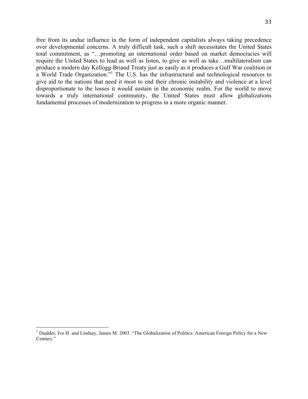free from its undue influence in the form of independent capitalists always taking precedence over developmental concerns. A truly difficult task, such a shift necessitates the United States total commitment, as "…promoting an international order based on market democracies will require the United States to lead as well as listen, to give as well as take…multilateralism can produce a modern day Kellogg-Briand Treaty just as easily as it produces a Gulf War coalition or a World Trade Organization."<sup>1</sup> The U.S. has the infrastructural and technological resources to give aid to the nations that need it most to end their chronic instability and violence at a level disproportionate to the losses it would sustain in the economic realm. For the world to move towards a truly international community, the United States must allow globalizations fundamental processes of modernization to progress in a more organic manner.

<sup>&</sup>lt;sup>1</sup> Daalder, Ivo H. and Lindsay, James M. 2003. "The Globalization of Politics: American Foreign Policy for a New Century."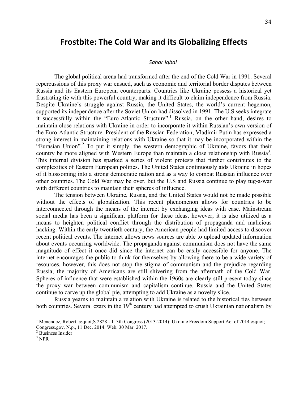### **Frostbite: The Cold War and its Globalizing Effects**

#### *Sahar Iqbal*

 The global political arena had transformed after the end of the Cold War in 1991. Several repercussions of this proxy war ensued, such as economic and territorial border disputes between Russia and its Eastern European counterparts. Countries like Ukraine possess a historical yet frustrating tie with this powerful country, making it difficult to claim independence from Russia. Despite Ukraine's struggle against Russia, the United States, the world's current hegemon, supported its independence after the Soviet Union had dissolved in 1991. The U.S seeks integrate it successfully within the "Euro-Atlantic Structure".<sup>1</sup> Russia, on the other hand, desires to maintain close relations with Ukraine in order to incorporate it within Russian's own version of the Euro-Atlantic Structure. President of the Russian Federation, Vladimir Putin has expressed a strong interest in maintaining relations with Ukraine so that it may be incorporated within the "Eurasian Union".<sup>2</sup> To put it simply, the western demographic of Ukraine, favors that their country be more aligned with Western Europe than maintain a close relationship with Russia<sup>3</sup>. This internal division has sparked a series of violent protests that further contributes to the complexities of Eastern European politics. The United States continuously aids Ukraine in hopes of it blossoming into a strong democratic nation and as a way to combat Russian influence over other countries. The Cold War may be over, but the U.S and Russia continue to play tug-a-war with different countries to maintain their spheres of influence.

 without the effects of globalization. This recent phenomenon allows for countries to be interconnected through the means of the internet by exchanging ideas with ease. Mainstream social media has been a significant platform for these ideas, however, it is also utilized as a means to heighten political conflict through the distribution of propaganda and malicious recent political events. The internet allows news sources are able to upload updated information about events occurring worldwide. The propaganda against communism does not have the same magnitude of effect it once did since the internet can be easily accessible for anyone. The internet encourages the public to think for themselves by allowing there to be a wide variety of resources, however, this does not stop the stigma of communism and the prejudice regarding Russia; the majority of Americans are still shivering from the aftermath of the Cold War. Spheres of influence that were established within the 1960s are clearly still present today since the proxy war between communism and capitalism continue. Russia and the United States The tension between Ukraine, Russia, and the United States would not be made possible hacking. Within the early twentieth century, the American people had limited access to discover continue to carve up the global pie, attempting to add Ukraine as a novelty slice.

both countries. Several czars in the  $19<sup>th</sup>$  century had attempted to crush Ukrainian nationalism by Russia yearns to maintain a relation with Ukraine is related to the historical ties between

<sup>&</sup>lt;sup>1</sup> Menendez, Robert.  $\&$ quot; S.2828 - 113th Congress (2013-2014): Ukraine Freedom Support Act of 2014. $\&$ quot; Congress.gov. N.p., 11 Dec. 2014. Web. 30 Mar. 2017.<br><sup>2</sup> Business Insider

 $3$  NPR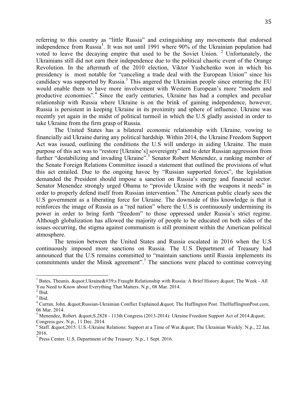referring to this country as "little Russia" and extinguishing any movements that endorsed independence from Russia<sup>1</sup>. It was not until 1991 where 90% of the Ukrainian population had voted to leave the decaying empire that used to be the Soviet Union.  $2$  Unfortunately, the Ukrainians still did not earn their independence due to the political chaotic event of the Orange Revolution. In the aftermath of the 2010 election, Viktor Yushchenko won in which his presidency is most notable for "canceling a trade deal with the European Union" since his candidacy was supported by Russia.<sup>3</sup> This angered the Ukrainian people since entering the EU would enable them to have more involvement with Western European's more "modern and productive economies".<sup>4</sup> Since the early centuries, Ukraine has had a complex and peculiar relationship with Russia where Ukraine is on the brink of gaining independence, however, Russia is persistent in keeping Ukraine in its proximity and sphere of influence. Ukraine was recently yet again in the midst of political turmoil in which the U.S gladly assisted in order to take Ukraine from the firm grasp of Russia.

 financially aid Ukraine during any political hardship. Within 2014, the Ukraine Freedom Support Act was issued, outlining the conditions the U.S will undergo in aiding Ukraine. The main purpose of this act was to "restore [Ukraine's] sovereignty" and to deter Russian aggression from the Senate Foreign Relations Committee issued a statement that outlined the provisions of what this act entailed. Due to the ongoing havoc by "Russian supported forces", the legislation demanded the President should impose a sanction on Russia's energy and financial sector. Senator Menendez strongly urged Obama to "provide Ukraine with the weapons it needs" in order to properly defend itself from Russian intervention.<sup>6</sup> The American public clearly sees the U.S government as a liberating force for Ukraine. The downside of this knowledge is that it reinforces the image of Russia as a "red nation" where the U.S is continuously undermining its power in order to bring forth "freedom" to those oppressed under Russia's strict regime. Although globalization has allowed the majority of people to be educated on both sides of the issues occurring, the stigma against communism is still prominent within the American political The United States has a bilateral economic relationship with Ukraine, vowing to further "destabilizing and invading Ukraine".<sup>5</sup> Senator Robert Menendez, a ranking member of atmosphere.

 The tension between the United States and Russia escalated in 2016 when the U.S continuously imposed more sanctions on Russia. The U.S Department of Treasury had announced that the U.S remains committed to "maintain sanctions until Russia implements its commitments under the Minsk agreement".<sup>7</sup> The sanctions were placed to continue conveying

<sup>&</sup>lt;sup>1</sup> Bates, Theunis. &quot; Ukraine  $\&\#39$ ; Fraught Relationship with Russia: A Brief History. " The Week - All You Need to Know about Everything That Matters. N.p., 08 Mar. 2014.<br><sup>2</sup> Ibid.

 $^{\rm 2}$  Ibid.

 $3$  Ibid.

 $4$  Curran, John. " Russian-Ukrainian Conflict Explained. " The Huffington Post. TheHuffingtonPost.com, 06 Mar. 2014.

<sup>&</sup>lt;sup>5</sup> Menendez, Robert.  $\&$ quot; S.2828 - 113th Congress (2013-2014): Ukraine Freedom Support Act of 2014. $\&$ quot; Congress.gov. N.p., 11 Dec. 2014. Congress.gov. N.p., 11 Dec. 2014.<br><sup>6</sup> Staff. &quot;2015: U.S.-Ukraine Relations: Support at a Time of War.&quot; The Ukrainian Weekly. N.p., 22 Jan.

<sup>2016.</sup> 

 $7$  Press Center. U.S. Department of the Treasury. N.p., 1 Sept. 2016.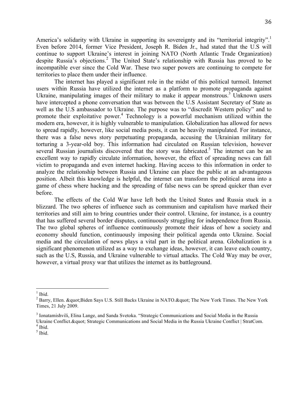America's solidarity with Ukraine in supporting its sovereignty and its "territorial integrity".<sup>1</sup> Even before 2014, former Vice President, Joseph R. Biden Jr., had stated that the U.S will continue to support Ukraine's interest in joining NATO (North Atlantic Trade Organization) despite Russia's objections.<sup>2</sup> The United State's relationship with Russia has proved to be incompatible ever since the Cold War. These two super powers are continuing to compete for territories to place them under their influence.

 The internet has played a significant role in the midst of this political turmoil. Internet users within Russia have utilized the internet as a platform to promote propaganda against Ukraine, manipulating images of their military to make it appear monstrous.<sup>3</sup> Unknown users have intercepted a phone conversation that was between the U.S Assistant Secretary of State as well as the U.S ambassador to Ukraine. The purpose was to "discredit Western policy" and to promote their exploitative power.<sup>4</sup> Technology is a powerful mechanism utilized within the modern era, however, it is highly vulnerable to manipulation. Globalization has allowed for news to spread rapidly, however, like social media posts, it can be heavily manipulated. For instance, there was a false news story perpetuating propaganda, accusing the Ukrainian military for several Russian journalists discovered that the story was fabricated.<sup>5</sup> The internet can be an excellent way to rapidly circulate information, however, the effect of spreading news can fall victim to propaganda and even internet hacking. Having access to this information in order to analyze the relationship between Russia and Ukraine can place the public at an advantageous position. Albeit this knowledge is helpful, the internet can transform the political arena into a game of chess where hacking and the spreading of false news can be spread quicker than ever torturing a 3-year-old boy. This information had circulated on Russian television, however before.

 The effects of the Cold War have left both the United States and Russia stuck in a blizzard. The two spheres of influence such as communism and capitalism have marked their territories and still aim to bring countries under their control. Ukraine, for instance, is a country that has suffered several border disputes, continuously struggling for independence from Russia. The two global spheres of influence continuously promote their ideas of how a society and economy should function, continuously imposing their political agenda onto Ukraine. Social media and the circulation of news plays a vital part in the political arena. Globalization is a significant phenomenon utilized as a way to exchange ideas, however, it can leave each country, such as the U.S, Russia, and Ukraine vulnerable to virtual attacks. The Cold Way may be over, however, a virtual proxy war that utilizes the internet as its battleground.

 $<sup>1</sup>$  Ibid.</sup>

 $^2$  Barry, Ellen. " Biden Says U.S. Still Backs Ukraine in NATO. " The New York Times. The New York Times, 21 July 2009.

<sup>&</sup>lt;sup>3</sup> Ionatamishvili, Elina Lange, and Sanda Svetoka. "Strategic Communications and Social Media in the Russia Ukraine Conflict. & quot; Strategic Communications and Social Media in the Russia Ukraine Conflict | StratCom.

 $<sup>4</sup>$  Ibid.</sup>

 $<sup>5</sup>$  Ibid.</sup>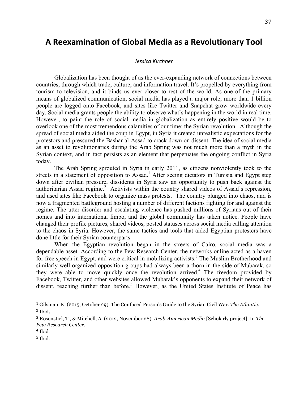### **A Reexamination of Global Media as a Revolutionary Tool**

#### *Jessica Kirchner*

 Globalization has been thought of as the ever-expanding network of connections between tourism to television, and it binds us ever closer to rest of the world. As one of the primary means of globalized communication, social media has played a major role; more than 1 billion people are logged onto Facebook, and sites like Twitter and Snapchat grow worldwide every day. Social media grants people the ability to observe what's happening in the world in real time. However, to paint the role of social media in globalization as entirely positive would be to overlook one of the most tremendous calamities of our time: the Syrian revolution. Although the spread of social media aided the coup in Egypt, in Syria it created unrealistic expectations for the protestors and pressured the Bashar al-Assad to crack down on dissent. The idea of social media as an asset to revolutionaries during the Arab Spring was not much more than a myth in the Syrian context, and in fact persists as an element that perpetuates the ongoing conflict in Syria countries, through which trade, culture, and information travel. It's propelled by everything from today.

streets in a statement of opposition to Assad.<sup>1</sup> After seeing dictators in Tunisia and Egypt step down after civilian pressure, dissidents in Syria saw an opportunity to push back against the authoritarian Assad regime.<sup>2</sup> Activists within the country shared videos of Assad's repression, and used sites like Facebook to organize mass protests. The country plunged into chaos, and is now a fragmented battleground hosting a number of different factions fighting for and against the regime. The utter disorder and escalating violence has pushed millions of Syrians out of their homes and into international limbo, and the global community has taken notice. People have changed their profile pictures, shared videos, posted statuses across social media calling attention to the chaos in Syria. However, the same tactics and tools that aided Egyptian protesters have The Arab Spring sprouted in Syria in early 2011, as citizens nonviolently took to the done little for their Syrian counterparts.

 When the Egyptian revolution began in the streets of Cairo, social media was a dependable asset. According to the Pew Research Center, the networks online acted as a haven for free speech in Egypt, and were critical in mobilizing activists.<sup>3</sup> The Muslim Brotherhood and similarly well-organized opposition groups had always been a thorn in the side of Mubarak, so they were able to move quickly once the revolution arrived.<sup>4</sup> The freedom provided by Facebook, Twitter, and other websites allowed Mubarak's opponents to expand their network of dissent, reaching further than before.<sup>5</sup> However, as the United States Institute of Peace has

 <sup>1</sup> Gilsinan, K. (2015, October 29). The Confused Person's Guide to the Syrian Civil War. *The Atlantic*.  $2$  Ibid.

 <sup>3</sup> Rosenstiel, T., & Mitchell, A. (2012, November 28). *Arab-American Media* [Scholarly project]. In *The Pew Research Center*.

 <sup>4</sup> Ibid.

<sup>5</sup> Ibid.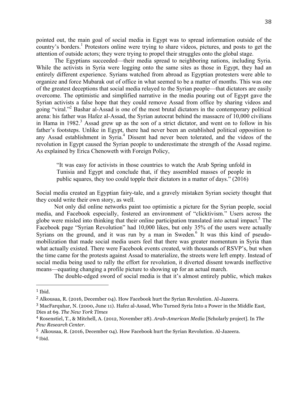pointed out, the main goal of social media in Egypt was to spread information outside of the country's borders.<sup>1</sup> Protestors online were trying to share videos, pictures, and posts to get the attention of outside actors; they were trying to propel their struggles onto the global stage.

 While the activists in Syria were logging onto the same sites as those in Egypt, they had an entirely different experience. Syrians watched from abroad as Egyptian protesters were able to organize and force Mubarak out of office in what seemed to be a matter of months. This was one of the greatest deceptions that social media relayed to the Syrian people—that dictators are easily overcome. The optimistic and simplified narrative in the media pouring out of Egypt gave the Syrian activists a false hope that they could remove Assad from office by sharing videos and going "viral."<sup>2</sup> Bashar al-Assad is one of the most brutal dictators in the contemporary political arena: his father was Hafez al-Assad, the Syrian autocrat behind the massacre of 10,000 civilians in Hama in  $1982$ <sup>3</sup> Assad grew up as the son of a strict dictator, and went on to follow in his any Assad establishment in Syria.<sup>4</sup> Dissent had never been tolerated, and the videos of the revolution in Egypt caused the Syrian people to underestimate the strength of the Assad regime. The Egyptians succeeded—their media spread to neighboring nations, including Syria. father's footsteps. Unlike in Egypt, there had never been an established political opposition to As explained by Erica Chenoweth with Foreign Policy,

 "It was easy for activists in those countries to watch the Arab Spring unfold in Tunisia and Egypt and conclude that, if they assembled masses of people in public squares, they too could topple their dictators in a matter of days." (2016)

 Social media created an Egyptian fairy-tale, and a gravely mistaken Syrian society thought that they could write their own story, as well.

 Not only did online networks paint too optimistic a picture for the Syrian people, social media, and Facebook especially, fostered an environment of "clicktivism." Users across the globe were misled into thinking that their online participation translated into actual impact.<sup>5</sup> The Facebook page "Syrian Revolution" had 10,000 likes, but only 35% of the users were actually Syrians on the ground, and it was run by a man in Sweden.<sup>6</sup> It was this kind of pseudo- mobilization that made social media users feel that there was greater momentum in Syria than what actually existed. There were Facebook events created, with thousands of RSVP's, but when the time came for the protests against Assad to materialize, the streets were left empty. Instead of social media being used to rally the effort for revolution, it diverted dissent towards ineffective means—equating changing a profile picture to showing up for an actual march.

The double-edged sword of social media is that it's almost entirely public, which makes

 $1$  Ibid.

 $2$  Alkousaa, R. (2016, December 04). How Facebook hurt the Syrian Revolution. Al-Jazeera.

<sup>&</sup>lt;sup>3</sup> MacFarquhar, N. (2000, June 11). Hafez al-Assad, Who Turned Syria Into a Power in the Middle East, Dies at 69. *The New York Times* 

 <sup>4</sup> Rosenstiel, T., & Mitchell, A. (2012, November 28). *Arab-American Media* [Scholarly project]. In *The Pew Research Center*.

<sup>&</sup>lt;sup>5</sup> Alkousaa, R. (2016, December 04). How Facebook hurt the Syrian Revolution. Al-Jazeera.  $^6$  Ibid.